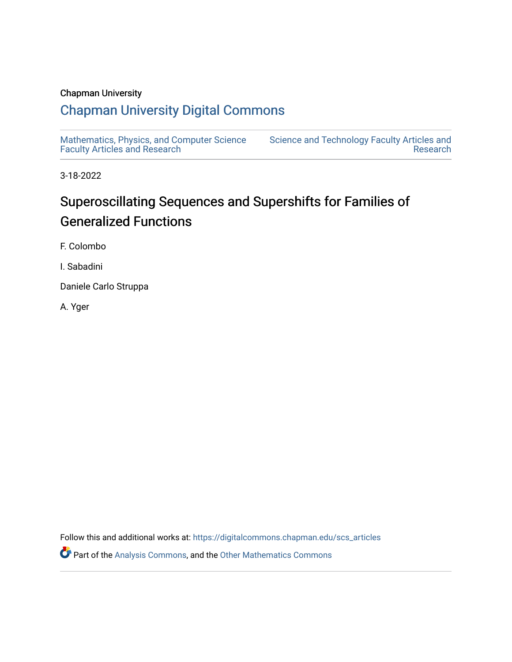## Chapman University

## [Chapman University Digital Commons](https://digitalcommons.chapman.edu/)

[Mathematics, Physics, and Computer Science](https://digitalcommons.chapman.edu/scs_articles)  [Faculty Articles and Research](https://digitalcommons.chapman.edu/scs_articles)

[Science and Technology Faculty Articles and](https://digitalcommons.chapman.edu/science_articles)  [Research](https://digitalcommons.chapman.edu/science_articles) 

3-18-2022

# Superoscillating Sequences and Supershifts for Families of Generalized Functions

F. Colombo

I. Sabadini

Daniele Carlo Struppa

A. Yger

Follow this and additional works at: [https://digitalcommons.chapman.edu/scs\\_articles](https://digitalcommons.chapman.edu/scs_articles?utm_source=digitalcommons.chapman.edu%2Fscs_articles%2F785&utm_medium=PDF&utm_campaign=PDFCoverPages) 

**Part of the [Analysis Commons](http://network.bepress.com/hgg/discipline/177?utm_source=digitalcommons.chapman.edu%2Fscs_articles%2F785&utm_medium=PDF&utm_campaign=PDFCoverPages), and the [Other Mathematics Commons](http://network.bepress.com/hgg/discipline/185?utm_source=digitalcommons.chapman.edu%2Fscs_articles%2F785&utm_medium=PDF&utm_campaign=PDFCoverPages)**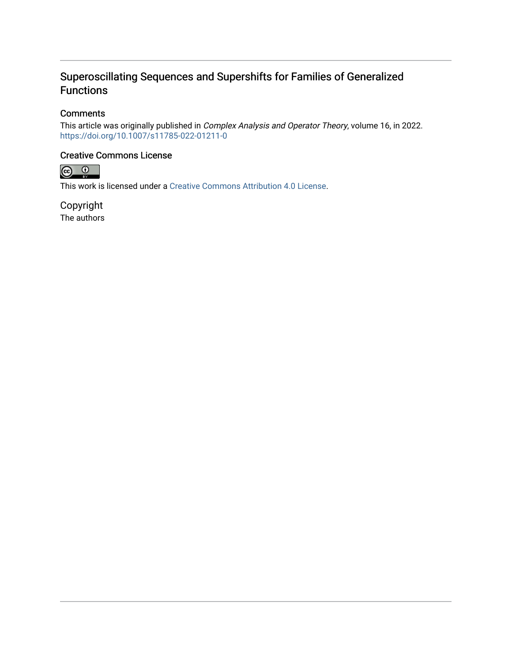## Superoscillating Sequences and Supershifts for Families of Generalized Functions

## **Comments**

This article was originally published in Complex Analysis and Operator Theory, volume 16, in 2022. <https://doi.org/10.1007/s11785-022-01211-0>

### Creative Commons License



This work is licensed under a [Creative Commons Attribution 4.0 License](https://creativecommons.org/licenses/by/4.0/).

Copyright The authors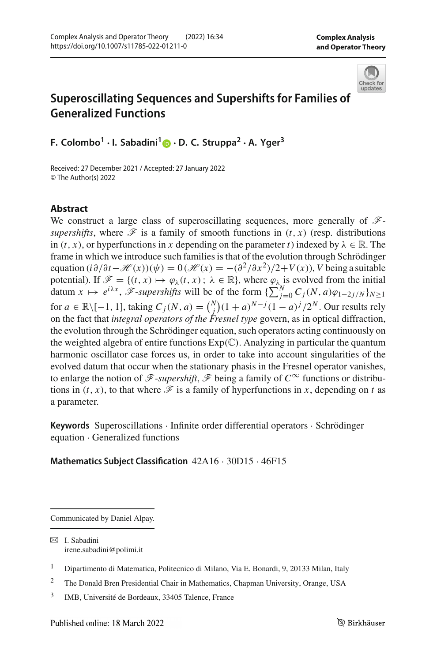

## **Superoscillating Sequences and Supershifts for Families of Generalized Functions**

**F. Colombo1 · I. Sabadini[1](http://orcid.org/0000-0002-9930-4308) · D. C. Struppa2 · A. Yger3**

Received: 27 December 2021 / Accepted: 27 January 2022 © The Author(s) 2022

#### **Abstract**

We construct a large class of superoscillating sequences, more generally of *Fsupershifts*, where  $\mathcal F$  is a family of smooth functions in  $(t, x)$  (resp. distributions in  $(t, x)$ , or hyperfunctions in *x* depending on the parameter *t*) indexed by  $\lambda \in \mathbb{R}$ . The frame in which we introduce such families is that of the evolution through Schrödinger equation  $(i\partial/\partial t - \mathcal{H}(x))(\psi) = 0 \left(\mathcal{H}(x) = -\frac{\partial^2}{\partial x^2}\right)/2 + V(x)$ , *V* being a suitable potential). If  $\mathscr{F} = \{(t, x) \mapsto \varphi_{\lambda}(t, x) : \lambda \in \mathbb{R}\}$ , where  $\varphi_{\lambda}$  is evolved from the initial datum  $x \mapsto e^{i\lambda x}$ ,  $\mathscr{F}$ -*supershifts* will be of the form  $\{\sum_{j=0}^{N} C_j(N, a)\varphi_{1-2j/N}\}_{N\geq 1}$ for *a* ∈ ℝ∖[−1, 1], taking  $C_j(N, a) = {N \choose j} (1 + a)^{N-j} (1 - a)^j / 2^N$ . Our results rely on the fact that *integral operators of the Fresnel type* govern, as in optical diffraction, the evolution through the Schrödinger equation, such operators acting continuously on the weighted algebra of entire functions  $Exp(\mathbb{C})$ . Analyzing in particular the quantum harmonic oscillator case forces us, in order to take into account singularities of the evolved datum that occur when the stationary phasis in the Fresnel operator vanishes, to enlarge the notion of  $\mathscr{F}$ -*supershift*,  $\mathscr{F}$  being a family of  $C^{\infty}$  functions or distributions in  $(t, x)$ , to that where  $\mathscr F$  is a family of hyperfunctions in *x*, depending on *t* as a parameter.

**Keywords** Superoscillations · Infinite order differential operators · Schrödinger equation · Generalized functions

#### **Mathematics Subject Classification** 42A16 · 30D15 · 46F15

Communicated by Daniel Alpay.

B I. Sabadini irene.sabadini@polimi.it

<sup>1</sup> Dipartimento di Matematica, Politecnico di Milano, Via E. Bonardi, 9, 20133 Milan, Italy

<sup>2</sup> The Donald Bren Presidential Chair in Mathematics, Chapman University, Orange, USA

<sup>3</sup> IMB, Université de Bordeaux, 33405 Talence, France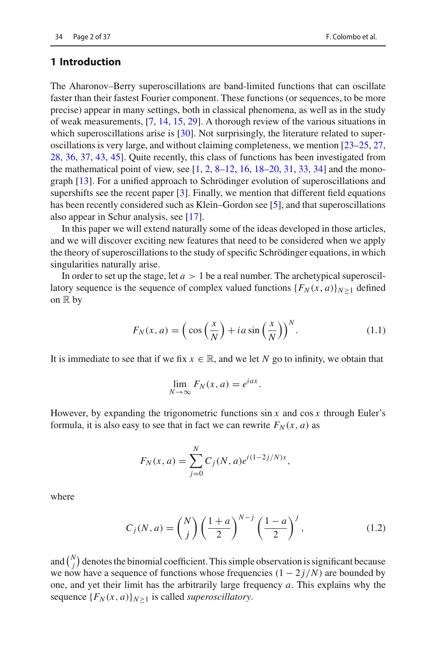#### **1 Introduction**

The Aharonov–Berry superoscillations are band-limited functions that can oscillate faster than their fastest Fourier component. These functions (or sequences, to be more precise) appear in many settings, both in classical phenomena, as well as in the study of weak measurements, [\[7,](#page-37-0) [14](#page-37-1), [15](#page-37-2), [29\]](#page-38-0). A thorough review of the various situations in which superoscillations arise is [\[30](#page-38-1)]. Not surprisingly, the literature related to superoscillations is very large, and without claiming completeness, we mention [\[23](#page-37-3)[–25](#page-37-4), [27,](#page-37-5) [28,](#page-38-2) [36,](#page-38-3) [37,](#page-38-4) [43](#page-38-5), [45](#page-38-6)]. Quite recently, this class of functions has been investigated from the mathematical point of view, see [\[1,](#page-37-6) [2](#page-37-7), [8](#page-37-8)[–12](#page-37-9), [16,](#page-37-10) [18](#page-37-11)[–20,](#page-37-12) [31](#page-38-7), [33](#page-38-8), [34](#page-38-9)] and the monograph [\[13](#page-37-13)]. For a unified approach to Schrödinger evolution of superoscillations and supershifts see the recent paper  $[3]$ . Finally, we mention that different field equations has been recently considered such as Klein–Gordon see [\[5\]](#page-37-15), and that superoscillations also appear in Schur analysis, see [\[17\]](#page-37-16).

In this paper we will extend naturally some of the ideas developed in those articles, and we will discover exciting new features that need to be considered when we apply the theory of superoscillations to the study of specific Schrödinger equations, in which singularities naturally arise.

In order to set up the stage, let  $a > 1$  be a real number. The archetypical superoscillatory sequence is the sequence of complex valued functions  ${F_N(x, a)}_{N>1}$  defined on  $\mathbb R$  by

<span id="page-3-0"></span>
$$
F_N(x, a) = \left(\cos\left(\frac{x}{N}\right) + ia\sin\left(\frac{x}{N}\right)\right)^N.
$$
 (1.1)

It is immediate to see that if we fix  $x \in \mathbb{R}$ , and we let *N* go to infinity, we obtain that

$$
\lim_{N \to \infty} F_N(x, a) = e^{iax}.
$$

However, by expanding the trigonometric functions sin *x* and cos *x* through Euler's formula, it is also easy to see that in fact we can rewrite  $F_N(x, a)$  as

$$
F_N(x, a) = \sum_{j=0}^N C_j(N, a) e^{i(1-2j/N)x},
$$

where

$$
C_j(N, a) = \binom{N}{j} \left(\frac{1+a}{2}\right)^{N-j} \left(\frac{1-a}{2}\right)^j, \tag{1.2}
$$

and  $\binom{N}{j}$  denotes the binomial coefficient. This simple observation is significant because we now have a sequence of functions whose frequencies  $(1 - 2j/N)$  are bounded by one, and yet their limit has the arbitrarily large frequency *a*. This explains why the sequence  ${F_N(x, a)}_{N>1}$  is called *superoscillatory*.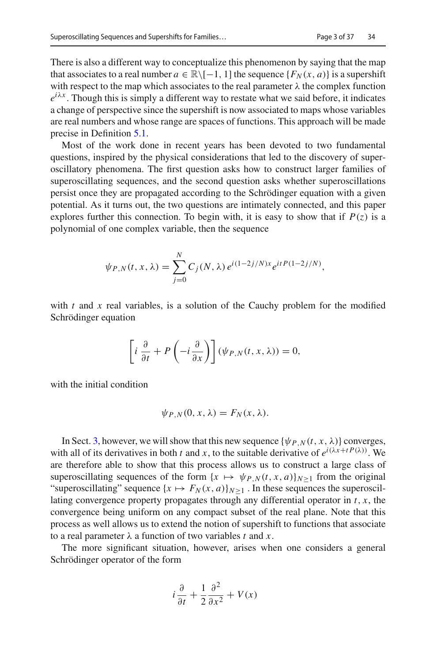There is also a different way to conceptualize this phenomenon by saying that the map that associates to a real number  $a \in \mathbb{R} \setminus [-1, 1]$  the sequence  $\{F_N(x, a)\}\$ is a supershift with respect to the map which associates to the real parameter  $\lambda$  the complex function  $e^{i\lambda x}$ . Though this is simply a different way to restate what we said before, it indicates a change of perspective since the supershift is now associated to maps whose variables are real numbers and whose range are spaces of functions. This approach will be made precise in Definition [5.1.](#page-28-0)

Most of the work done in recent years has been devoted to two fundamental questions, inspired by the physical considerations that led to the discovery of superoscillatory phenomena. The first question asks how to construct larger families of superoscillating sequences, and the second question asks whether superoscillations persist once they are propagated according to the Schrödinger equation with a given potential. As it turns out, the two questions are intimately connected, and this paper explores further this connection. To begin with, it is easy to show that if  $P(z)$  is a polynomial of one complex variable, then the sequence

$$
\psi_{P,N}(t,x,\lambda) = \sum_{j=0}^{N} C_j(N,\lambda) e^{i(1-2j/N)x} e^{itP(1-2j/N)},
$$

with  $t$  and  $x$  real variables, is a solution of the Cauchy problem for the modified Schrödinger equation

$$
\left[i\,\frac{\partial}{\partial t} + P\left(-i\,\frac{\partial}{\partial x}\right)\right](\psi_{P,N}(t,x,\lambda)) = 0,
$$

with the initial condition

$$
\psi_{P,N}(0,x,\lambda)=F_N(x,\lambda).
$$

In Sect. [3,](#page-14-0) however, we will show that this new sequence  $\{\psi_{P,N}(t, x, \lambda)\}\)$  converges, with all of its derivatives in both *t* and *x*, to the suitable derivative of  $e^{i(\lambda x + t P(\lambda))}$ . We are therefore able to show that this process allows us to construct a large class of superoscillating sequences of the form  $\{x \mapsto \psi_{P,N}(t, x, a)\}_{N>1}$  from the original "superoscillating" sequence  $\{x \mapsto F_N(x, a)\}_{N>1}$ . In these sequences the superoscillating convergence property propagates through any differential operator in *t*, *x*, the convergence being uniform on any compact subset of the real plane. Note that this process as well allows us to extend the notion of supershift to functions that associate to a real parameter  $\lambda$  a function of two variables *t* and *x*.

The more significant situation, however, arises when one considers a general Schrödinger operator of the form

$$
i\frac{\partial}{\partial t} + \frac{1}{2}\frac{\partial^2}{\partial x^2} + V(x)
$$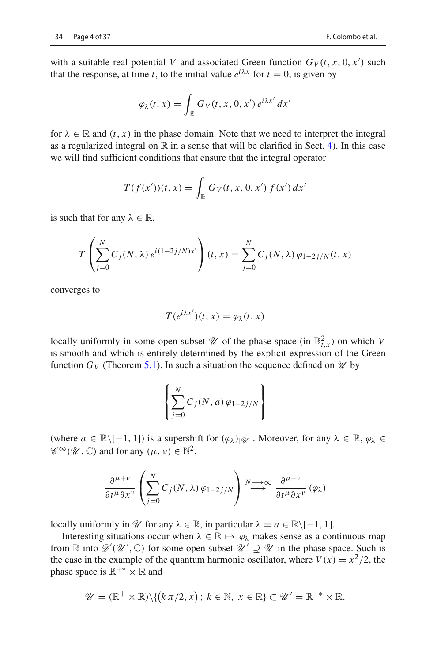with a suitable real potential *V* and associated Green function  $G_V(t, x, 0, x')$  such that the response, at time *t*, to the initial value  $e^{i\lambda x}$  for  $t = 0$ , is given by

$$
\varphi_{\lambda}(t,x) = \int_{\mathbb{R}} G_V(t,x,0,x') e^{i\lambda x'} dx'
$$

for  $\lambda \in \mathbb{R}$  and  $(t, x)$  in the phase domain. Note that we need to interpret the integral as a regularized integral on  $\mathbb R$  in a sense that will be clarified in Sect. [4\)](#page-22-0). In this case we will find sufficient conditions that ensure that the integral operator

$$
T(f(x'))(t,x) = \int_{\mathbb{R}} G_V(t,x,0,x') f(x') dx'
$$

is such that for any  $\lambda \in \mathbb{R}$ .

$$
T\left(\sum_{j=0}^{N} C_j(N, \lambda) e^{i(1-2j/N)x'}\right)(t, x) = \sum_{j=0}^{N} C_j(N, \lambda) \varphi_{1-2j/N}(t, x)
$$

converges to

$$
T(e^{i\lambda x'})(t, x) = \varphi_{\lambda}(t, x)
$$

locally uniformly in some open subset  $\mathcal{U}$  of the phase space (in  $\mathbb{R}^2_{t,x}$ ) on which *V* is smooth and which is entirely determined by the explicit expression of the Green function  $G_V$  (Theorem [5.1\)](#page-25-0). In such a situation the sequence defined on  $\mathcal{U}$  by

$$
\left\{\sum_{j=0}^N C_j(N,a)\,\varphi_{1-2j/N}\right\}
$$

(where  $a \in \mathbb{R} \setminus [-1, 1]$ ) is a supershift for  $(\varphi_\lambda)_{\mathcal{U}}$ . Moreover, for any  $\lambda \in \mathbb{R}, \varphi_\lambda \in$  $\mathscr{C}^{\infty}(\mathscr{U}, \mathbb{C})$  and for any  $(\mu, \nu) \in \mathbb{N}^2$ ,

$$
\frac{\partial^{\mu+\nu}}{\partial t^{\mu}\partial x^{\nu}}\left(\sum_{j=0}^{N}C_j(N,\lambda)\varphi_{1-2j/N}\right)\stackrel{N\longrightarrow\infty}{\longrightarrow}\frac{\partial^{\mu+\nu}}{\partial t^{\mu}\partial x^{\nu}}\left(\varphi_{\lambda}\right)
$$

locally uniformly in  $\mathcal{U}$  for any  $\lambda \in \mathbb{R}$ , in particular  $\lambda = a \in \mathbb{R} \setminus [-1, 1]$ .

Interesting situations occur when  $\lambda \in \mathbb{R} \mapsto \varphi_\lambda$  makes sense as a continuous map from  $\mathbb R$  into  $\mathscr D'(\mathscr U', \mathbb C)$  for some open subset  $\mathscr U' \supsetneq \mathscr U$  in the phase space. Such is the case in the example of the quantum harmonic oscillator, where  $V(x) = x^2/2$ , the phase space is  $\mathbb{R}^{+*} \times \mathbb{R}$  and

$$
\mathscr{U} = (\mathbb{R}^+ \times \mathbb{R}) \setminus \{ (k \pi/2, x) \, ; \, k \in \mathbb{N}, \ x \in \mathbb{R} \} \subset \mathscr{U}' = \mathbb{R}^{+*} \times \mathbb{R}.
$$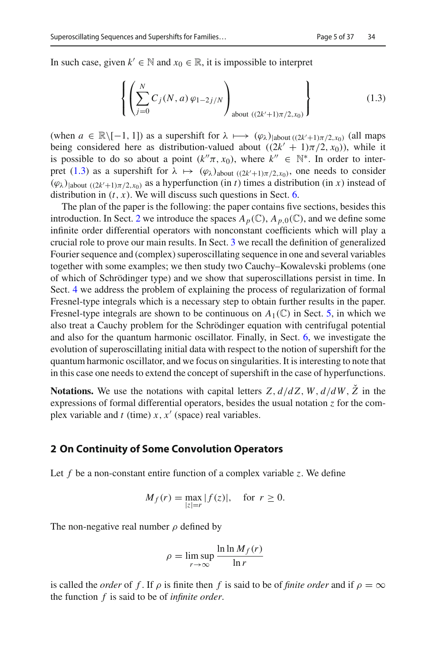In such case, given  $k' \in \mathbb{N}$  and  $x_0 \in \mathbb{R}$ , it is impossible to interpret

<span id="page-6-0"></span>
$$
\left\{ \left( \sum_{j=0}^{N} C_j(N, a) \varphi_{1-2j/N} \right)_{\text{about } ((2k'+1)\pi/2, x_0)} \right\} \tag{1.3}
$$

(when  $a \in \mathbb{R} \setminus [-1, 1]$ ) as a supershift for  $\lambda \mapsto (\varphi_{\lambda})_{|\text{about }((2k'+1)\pi/2, x_0)}$  (all maps being considered here as distribution-valued about  $((2k' + 1)\pi/2, x_0)$ , while it is possible to do so about a point  $(k''\pi, x_0)$ , where  $k'' \in \mathbb{N}^*$ . In order to inter-pret [\(1.3\)](#page-6-0) as a supershift for  $\lambda \mapsto (\varphi_{\lambda})_{\text{about }((2k'+1)\pi/2,x_0)}$ , one needs to consider  $(\varphi_{\lambda})$ <sub>l</sub>about  $((2k'+1)\pi/2, x_0)$  as a hyperfunction (in *t*) times a distribution (in *x*) instead of distribution in  $(t, x)$ . We will discuss such questions in Sect. [6.](#page-33-0)

The plan of the paper is the following: the paper contains five sections, besides this introduction. In Sect. [2](#page-6-1) we introduce the spaces  $A_p(\mathbb{C})$ ,  $A_{p,0}(\mathbb{C})$ , and we define some infinite order differential operators with nonconstant coefficients which will play a crucial role to prove our main results. In Sect. [3](#page-14-0) we recall the definition of generalized Fourier sequence and (complex) superoscillating sequence in one and several variables together with some examples; we then study two Cauchy–Kowalevski problems (one of which of Schrödinger type) and we show that superoscillations persist in time. In Sect. [4](#page-22-0) we address the problem of explaining the process of regularization of formal Fresnel-type integrals which is a necessary step to obtain further results in the paper. Fresnel-type integrals are shown to be continuous on  $A_1(\mathbb{C})$  in Sect. [5,](#page-24-0) in which we also treat a Cauchy problem for the Schrödinger equation with centrifugal potential and also for the quantum harmonic oscillator. Finally, in Sect. [6,](#page-33-0) we investigate the evolution of superoscillating initial data with respect to the notion of supershift for the quantum harmonic oscillator, and we focus on singularities. It is interesting to note that in this case one needs to extend the concept of supershift in the case of hyperfunctions.

**Notations.** We use the notations with capital letters  $Z$ ,  $d/dZ$ ,  $W$ ,  $d/dW$ ,  $\bar{Z}$  in the expressions of formal differential operators, besides the usual notation *z* for the complex variable and  $t$  (time)  $x$ ,  $x'$  (space) real variables.

#### <span id="page-6-1"></span>**2 On Continuity of Some Convolution Operators**

Let *f* be a non-constant entire function of a complex variable *z*. We define

$$
M_f(r) = \max_{|z|=r} |f(z)|, \quad \text{for } r \ge 0.
$$

The non-negative real number  $\rho$  defined by

$$
\rho = \limsup_{r \to \infty} \frac{\ln \ln M_f(r)}{\ln r}
$$

is called the *order* of *f*. If  $\rho$  is finite then *f* is said to be of *finite order* and if  $\rho = \infty$ the function *f* is said to be of *infinite order*.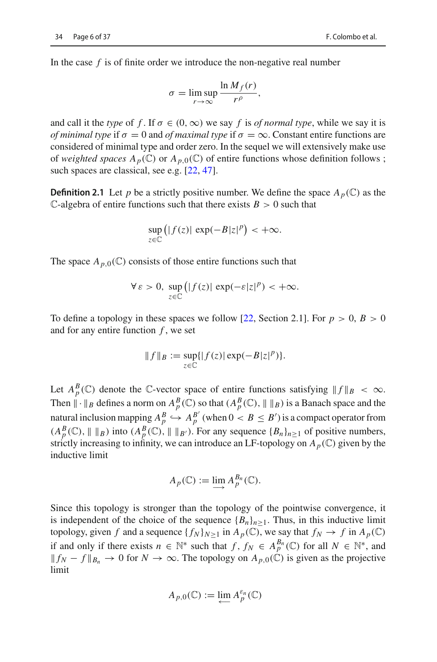In the case *f* is of finite order we introduce the non-negative real number

$$
\sigma = \limsup_{r \to \infty} \frac{\ln M_f(r)}{r^{\rho}},
$$

and call it the *type* of f. If  $\sigma \in (0, \infty)$  we say f is *of normal type*, while we say it is *of minimal type* if  $\sigma = 0$  and *of maximal type* if  $\sigma = \infty$ . Constant entire functions are considered of minimal type and order zero. In the sequel we will extensively make use of *weighted spaces*  $A_p(\mathbb{C})$  or  $A_{p,0}(\mathbb{C})$  of entire functions whose definition follows ; such spaces are classical, see e.g. [\[22,](#page-37-17) [47\]](#page-38-10).

**Definition 2.1** Let *p* be a strictly positive number. We define the space  $A_p(\mathbb{C})$  as the C-algebra of entire functions such that there exists  $B > 0$  such that

$$
\sup_{z\in\mathbb{C}}\left(|f(z)|\exp(-B|z|^p)\right|<\+\infty.
$$

The space  $A_{p,0}(\mathbb{C})$  consists of those entire functions such that

$$
\forall \varepsilon > 0, \sup_{z \in \mathbb{C}} \left( |f(z)| \exp(-\varepsilon |z|^p) < +\infty \right).
$$

To define a topology in these spaces we follow [\[22,](#page-37-17) Section 2.1]. For  $p > 0$ ,  $B > 0$ and for any entire function *f* , we set

$$
||f||_B := \sup_{z \in \mathbb{C}} \{|f(z)| \exp(-B|z|^p)\}.
$$

Let  $A_p^B(\mathbb{C})$  denote the  $\mathbb{C}$ -vector space of entire functions satisfying  $||f||_B < \infty$ . Then  $\|\cdot\|_B$  defines a norm on  $A_p^B(\mathbb{C})$  so that  $(A_p^B(\mathbb{C}), \| \|_B)$  is a Banach space and the natural inclusion mapping  $A_p^B \hookrightarrow A_p^{B'}$  (when  $0 < B \le B'$ ) is a compact operator from  $(A_p^B(\mathbb{C}), \| \|_B)$  into  $(A_p^B(\mathbb{C}), \| \|_{B'})$ . For any sequence  $\{B_n\}_{n\geq 1}$  of positive numbers, strictly increasing to infinity, we can introduce an LF-topology on  $A_p(\mathbb{C})$  given by the inductive limit

$$
A_p(\mathbb{C}) := \varinjlim A_p^{B_n}(\mathbb{C}).
$$

Since this topology is stronger than the topology of the pointwise convergence, it is independent of the choice of the sequence  ${B_n}_{n \geq 1}$ . Thus, in this inductive limit topology, given *f* and a sequence  $\{f_N\}_{N\geq 1}$  in  $A_p(\mathbb{C})$ , we say that  $f_N \to f$  in  $A_p(\mathbb{C})$ if and only if there exists  $n \in \mathbb{N}^*$  such that  $f, f_N \in A_p^{B_n}(\mathbb{C})$  for all  $N \in \mathbb{N}^*$ , and  $|| f_N - f ||_{B_n}$  → 0 for  $N \to \infty$ . The topology on  $A_{p,0}(\mathbb{C})$  is given as the projective limit

$$
A_{p,0}(\mathbb{C}) := \varprojlim A_p^{\varepsilon_n}(\mathbb{C})
$$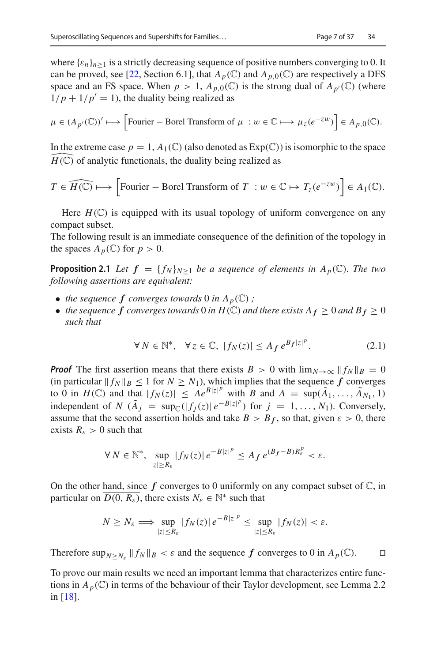where  $\{\varepsilon_n\}_{n>1}$  is a strictly decreasing sequence of positive numbers converging to 0. It can be proved, see [\[22,](#page-37-17) Section 6.1], that  $A_p(\mathbb{C})$  and  $A_{p,0}(\mathbb{C})$  are respectively a DFS space and an FS space. When  $p > 1$ ,  $A_{p,0}(\mathbb{C})$  is the strong dual of  $A_{p'}(\mathbb{C})$  (where  $1/p + 1/p' = 1$ , the duality being realized as

$$
\mu \in (A_{p'}(\mathbb{C}))' \longmapsto \Big[ \text{Fourier} - \text{Borel Transform of } \mu : w \in \mathbb{C} \longmapsto \mu_z(e^{-zw}) \Big] \in A_{p,0}(\mathbb{C}).
$$

In the extreme case  $p = 1$ ,  $A_1(\mathbb{C})$  (also denoted as  $Exp(\mathbb{C})$ ) is isomorphic to the space  $\widehat{H(\mathbb{C})}$  of analytic functionals, the duality being realized as  $H(\mathbb{C})$  of analytic functionals, the duality being realized as

$$
T \in \widehat{H(\mathbb{C})} \longmapsto \left[ \text{Fourier} - \text{Borel Transform of } T \, : w \in \mathbb{C} \mapsto T_z(e^{-zw}) \right] \in A_1(\mathbb{C}).
$$

Here  $H(\mathbb{C})$  is equipped with its usual topology of uniform convergence on any compact subset.

<span id="page-8-1"></span>The following result is an immediate consequence of the definition of the topology in the spaces  $A_p(\mathbb{C})$  for  $p > 0$ .

**Proposition 2.1** *Let*  $f = \{f_N\}_{N>1}$  *be a sequence of elements in*  $A_p(\mathbb{C})$ *. The two following assertions are equivalent:*

- *the sequence*  $f$  *converges towards* 0 *in*  $A_p(\mathbb{C})$ ;
- *the sequence*  $f$  *converges towards* 0 *in*  $H(\mathbb{C})$  *and there exists*  $A_f \geq 0$  *and*  $B_f \geq 0$ *such that*

<span id="page-8-2"></span>
$$
\forall N \in \mathbb{N}^*, \quad \forall z \in \mathbb{C}, \ |f_N(z)| \le A_f \, e^{B_f |z|^p}.\tag{2.1}
$$

*Proof* The first assertion means that there exists  $B > 0$  with  $\lim_{N \to \infty} ||f_N||_B = 0$ (in particular  $||f_N||_B \le 1$  for  $N \ge N_1$ ), which implies that the sequence  $f$  converges to 0 in  $H(\mathbb{C})$  and that  $|f_N(z)| \leq Ae^{B|z|^p}$  with *B* and  $A = \sup(\tilde{A}_1, \ldots, \tilde{A}_{N_1}, 1)$ independent of *N* ( $\tilde{A}_j$  = sup<sub>C</sub>(|*f*<sub>j</sub>(*z*)|  $e^{-B|z|^p}$ ) for  $j = 1, ..., N_1$ ). Conversely, assume that the second assertion holds and take  $B > B_f$ , so that, given  $\varepsilon > 0$ , there exists  $R_{\varepsilon} > 0$  such that

$$
\forall N \in \mathbb{N}^*, \sup_{|z| \ge R_{\varepsilon}} |f_N(z)| e^{-B|z|^p} \le A_f e^{(B_f - B)R_{\varepsilon}^p} < \varepsilon.
$$

On the other hand, since  $f$  converges to 0 uniformly on any compact subset of  $\mathbb{C}$ , in particular on  $\overline{D(0, R_{\varepsilon})}$ , there exists  $N_{\varepsilon} \in \mathbb{N}^*$  such that

$$
N \geq N_{\varepsilon} \Longrightarrow \sup_{|z| \leq R_{\varepsilon}} |f_N(z)| \, e^{-B|z|^p} \leq \sup_{|z| \leq R_{\varepsilon}} |f_N(z)| < \varepsilon.
$$

Therefore  $\sup_{N \ge N_{\varepsilon}} \|f_N\|_B < \varepsilon$  and the sequence f converges to 0 in  $A_p(\mathbb{C})$ .

<span id="page-8-0"></span>To prove our main results we need an important lemma that characterizes entire functions in  $A_p(\mathbb{C})$  in terms of the behaviour of their Taylor development, see Lemma 2.2 in [\[18](#page-37-11)].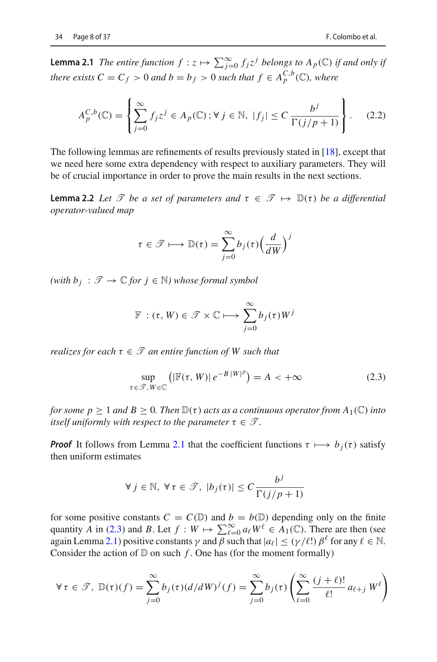**Lemma 2.1** *The entire function*  $f : z \mapsto \sum_{j=0}^{\infty} f_j z^j$  *belongs to*  $A_p(\mathbb{C})$  *if and only if there exists*  $C = C_f > 0$  *and*  $b = b_f > 0$  *such that*  $f \in A_p^{C,b}(\mathbb{C})$ *, where* 

$$
A_p^{C,b}(\mathbb{C}) = \left\{ \sum_{j=0}^{\infty} f_j z^j \in A_p(\mathbb{C}) \, ; \, \forall \, j \in \mathbb{N}, \, |f_j| \le C \, \frac{b^j}{\Gamma(j/p+1)} \right\}.
$$
 (2.2)

The following lemmas are refinements of results previously stated in [\[18](#page-37-11)], except that we need here some extra dependency with respect to auxiliary parameters. They will be of crucial importance in order to prove the main results in the next sections.

<span id="page-9-2"></span>**Lemma 2.2** *Let*  $\mathcal{T}$  *be a set of parameters and*  $\tau \in \mathcal{T} \mapsto \mathbb{D}(\tau)$  *be a differential operator-valued map*

$$
\tau \in \mathcal{T} \longmapsto \mathbb{D}(\tau) = \sum_{j=0}^{\infty} b_j(\tau) \Big(\frac{d}{dW}\Big)^j
$$

 $(with b<sub>j</sub> : *T* → *C* for *j* ∈ ℕ) whose formal symbol$ 

$$
\mathbb{F}:(\tau, W)\in\mathscr{T}\times\mathbb{C}\longmapsto\sum_{j=0}^{\infty}b_j(\tau)W^j
$$

*realizes for each* τ ∈ *T an entire function of W such that*

<span id="page-9-0"></span>
$$
\sup_{\tau \in \mathcal{F}, W \in \mathbb{C}} \left( \left| \mathbb{F}(\tau, W) \right| e^{-B \, |W|^p} \right) = A < +\infty \tag{2.3}
$$

*for some p*  $\geq 1$  *and*  $B \geq 0$ *. Then*  $\mathbb{D}(\tau)$  *acts as a continuous operator from*  $A_1(\mathbb{C})$  *into itself uniformly with respect to the parameter*  $\tau \in \mathcal{T}$ *.* 

*Proof* It follows from Lemma [2.1](#page-8-0) that the coefficient functions  $\tau \mapsto b_i(\tau)$  satisfy then uniform estimates

$$
\forall j \in \mathbb{N}, \ \forall \tau \in \mathcal{F}, \ |b_j(\tau)| \leq C \frac{b^j}{\Gamma(j/p + 1)}
$$

for some positive constants  $C = C(\mathbb{D})$  and  $b = b(\mathbb{D})$  depending only on the finite quantity *A* in [\(2.3\)](#page-9-0) and *B*. Let  $f : W \mapsto \sum_{\ell=0}^{\infty} a_{\ell} W^{\ell} \in A_1(\mathbb{C})$ . There are then (see again Lemma [2.1\)](#page-8-0) positive constants  $\gamma$  and  $\beta$  such that  $|a_{\ell}| \leq (\gamma/\ell!) \beta^{\ell}$  for any  $\ell \in \mathbb{N}$ . Consider the action of  $D$  on such  $f$ . One has (for the moment formally)

<span id="page-9-1"></span>
$$
\forall \tau \in \mathcal{F}, \ \mathbb{D}(\tau)(f) = \sum_{j=0}^{\infty} b_j(\tau) (d/dW)^j(f) = \sum_{j=0}^{\infty} b_j(\tau) \left( \sum_{\ell=0}^{\infty} \frac{(j+\ell)!}{\ell!} a_{\ell+j} W^{\ell} \right)
$$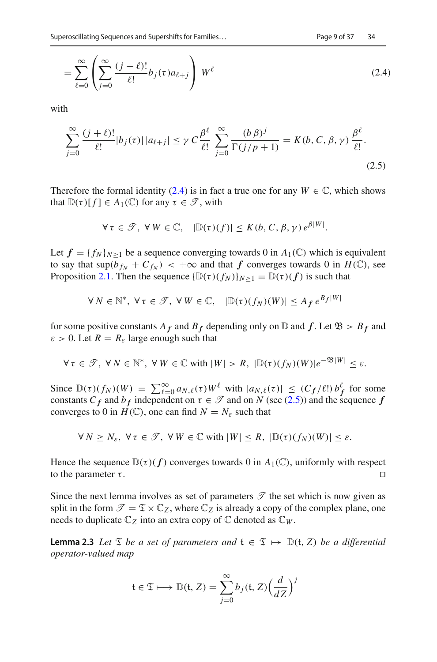$$
= \sum_{\ell=0}^{\infty} \left( \sum_{j=0}^{\infty} \frac{(j+\ell)!}{\ell!} b_j(\tau) a_{\ell+j} \right) W^{\ell}
$$
 (2.4)

with

<span id="page-10-0"></span>
$$
\sum_{j=0}^{\infty} \frac{(j+\ell)!}{\ell!} |b_j(\tau)| |a_{\ell+j}| \le \gamma C \frac{\beta^{\ell}}{\ell!} \sum_{j=0}^{\infty} \frac{(b \beta)^j}{\Gamma(j/p+1)} = K(b, C, \beta, \gamma) \frac{\beta^{\ell}}{\ell!}.
$$
\n(2.5)

Therefore the formal identity [\(2.4\)](#page-9-1) is in fact a true one for any  $W \in \mathbb{C}$ , which shows that  $\mathbb{D}(\tau)[f] \in A_1(\mathbb{C})$  for any  $\tau \in \mathscr{T}$ , with

$$
\forall \tau \in \mathcal{T}, \ \forall \, W \in \mathbb{C}, \quad |\mathbb{D}(\tau)(f)| \leq K(b, C, \beta, \gamma) e^{\beta |W|}.
$$

Let  $f = \{f_N\}_{N>1}$  be a sequence converging towards 0 in  $A_1(\mathbb{C})$  which is equivalent to say that  $\sup(b_{f_N} + C_{f_N}) < +\infty$  and that *f* converges towards 0 in  $H(\mathbb{C})$ , see Proposition [2.1.](#page-8-1) Then the sequence  $\{\mathbb{D}(\tau)(f_N)\}_{N>1} = \mathbb{D}(\tau)(f)$  is such that

$$
\forall N \in \mathbb{N}^*, \ \forall \tau \in \mathcal{T}, \ \forall W \in \mathbb{C}, \quad |\mathbb{D}(\tau)(f_N)(W)| \leq A_f \, e^{B_f|W|}
$$

for some positive constants  $A_f$  and  $B_f$  depending only on  $\mathbb D$  and  $f$ . Let  $\mathfrak{B} > B_f$  and  $\varepsilon > 0$ . Let  $R = R_{\varepsilon}$  large enough such that

$$
\forall \tau \in \mathcal{T}, \ \forall N \in \mathbb{N}^*, \ \forall W \in \mathbb{C} \text{ with } |W| > R, \ |\mathbb{D}(\tau)(f_N)(W)|e^{-\mathfrak{B}|W|} \leq \varepsilon.
$$

Since  $\mathbb{D}(\tau)(f_N)(W) = \sum_{\ell=0}^{\infty} a_{N,\ell}(\tau) W^{\ell}$  with  $|a_{N,\ell}(\tau)| \leq (C_f/\ell!) b_f^{\ell}$  for some constants  $C_f$  and  $b_f$  independent on  $\tau \in \mathcal{T}$  and on *N* (see [\(2.5\)](#page-10-0)) and the sequence *f* converges to 0 in  $H(\mathbb{C})$ , one can find  $N = N_{\varepsilon}$  such that

$$
\forall N \geq N_{\varepsilon}, \ \forall \tau \in \mathcal{T}, \ \forall W \in \mathbb{C} \text{ with } |W| \leq R, \ |\mathbb{D}(\tau)(f_N)(W)| \leq \varepsilon.
$$

Hence the sequence  $\mathbb{D}(\tau)(f)$  converges towards 0 in  $A_1(\mathbb{C})$ , uniformly with respect to the parameter  $\tau$ .

Since the next lemma involves as set of parameters  $\mathscr T$  the set which is now given as split in the form  $\mathcal{T} = \mathcal{I} \times \mathbb{C}_Z$ , where  $\mathbb{C}_Z$  is already a copy of the complex plane, one needs to duplicate  $\mathbb{C}_Z$  into an extra copy of  $\mathbb C$  denoted as  $\mathbb{C}_W$ .

<span id="page-10-1"></span>**Lemma 2.3** *Let*  $\mathcal{I}$  *be a set of parameters and*  $\mathbf{t} \in \mathcal{I} \mapsto \mathbb{D}(\mathbf{t}, Z)$  *be a differential operator-valued map*

$$
\mathfrak{t} \in \mathfrak{T} \longmapsto \mathbb{D}(\mathfrak{t}, Z) = \sum_{j=0}^{\infty} b_j(\mathfrak{t}, Z) \Big(\frac{d}{dZ}\Big)^j
$$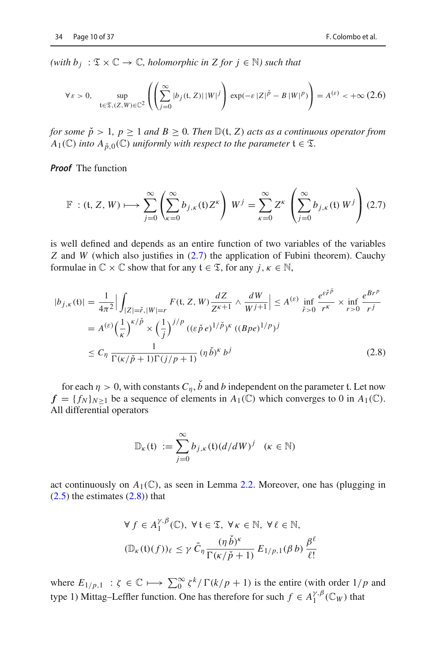*(with b<sub>j</sub>* :  $\mathfrak{T} \times \mathbb{C} \rightarrow \mathbb{C}$ *, holomorphic in Z for j* ∈  $\mathbb{N}$ *) such that* 

$$
\forall \varepsilon > 0, \quad \sup_{\mathfrak{t} \in \mathfrak{T}, (Z, W) \in \mathbb{C}^2} \left( \left( \sum_{j=0}^{\infty} |b_j(\mathfrak{t}, Z)| \, |W|^j \right) \exp(-\varepsilon |Z|^{\check{p}} - B \, |W|^p) \right) = A^{(\varepsilon)} < +\infty \, (2.6)
$$

*for some*  $\check{p} > 1$ *,*  $p \ge 1$  *and*  $B \ge 0$ *. Then*  $\mathbb{D}(\mathfrak{t}, Z)$  *acts as a continuous operator from A*<sub>1</sub>( $\mathbb{C}$ ) *into A*<sub> $\check{p},0$ ( $\mathbb{C}$ ) *uniformly with respect to the parameter*  $t \in \mathcal{I}$ *.*</sub>

*Proof* The function

<span id="page-11-0"></span>
$$
\mathbb{F} : (\mathfrak{t}, Z, W) \longmapsto \sum_{j=0}^{\infty} \left( \sum_{\kappa=0}^{\infty} b_{j,\kappa}(\mathfrak{t}) Z^{\kappa} \right) W^j = \sum_{\kappa=0}^{\infty} Z^{\kappa} \left( \sum_{j=0}^{\infty} b_{j,\kappa}(\mathfrak{t}) W^j \right) (2.7)
$$

is well defined and depends as an entire function of two variables of the variables *Z* and *W* (which also justifies in  $(2.7)$  the application of Fubini theorem). Cauchy formulae in  $\mathbb{C} \times \mathbb{C}$  show that for any  $t \in \mathcal{I}$ , for any  $j, \kappa \in \mathbb{N}$ ,

<span id="page-11-1"></span>
$$
|b_{j,\kappa}(t)| = \frac{1}{4\pi^2} \Big| \int_{|Z| = \tilde{r}, |W| = r} F(t, Z, W) \frac{dZ}{Z^{\kappa+1}} \wedge \frac{dW}{W^{j+1}} \Big| \le A^{(\varepsilon)} \inf_{\tilde{r} > 0} \frac{e^{\varepsilon \tilde{r}\tilde{p}}}{r^{\kappa}} \times \inf_{r > 0} \frac{e^{Br^p}}{r^j}
$$
  
=  $A^{(\varepsilon)} \Big( \frac{1}{\kappa} \Big)^{\kappa/\tilde{p}} \times \Big( \frac{1}{j} \Big)^{j/p} ((\varepsilon \tilde{p} e)^{1/\tilde{p}})^{\kappa} ((Bpe)^{1/p})^j$   
 $\le C_\eta \frac{1}{\Gamma(\kappa/\tilde{p} + 1)\Gamma(j/p + 1)} (\eta \tilde{b})^{\kappa} b^j$  (2.8)

for each  $\eta > 0$ , with constants  $C_n$ ,  $\check{b}$  and *b* independent on the parameter t. Let now  $f = \{f_N\}_{N>1}$  be a sequence of elements in  $A_1(\mathbb{C})$  which converges to 0 in  $A_1(\mathbb{C})$ . All differential operators

$$
\mathbb{D}_{\kappa}(\mathfrak{t}) := \sum_{j=0}^{\infty} b_{j,\kappa}(\mathfrak{t}) (d/dW)^j \quad (\kappa \in \mathbb{N})
$$

act continuously on  $A_1(\mathbb{C})$ , as seen in Lemma [2.2.](#page-9-2) Moreover, one has (plugging in  $(2.5)$  the estimates  $(2.8)$  that

$$
\forall f \in A_1^{\gamma, \beta}(\mathbb{C}), \ \forall \, t \in \mathfrak{T}, \ \forall \, \kappa \in \mathbb{N}, \ \forall \, \ell \in \mathbb{N},
$$

$$
(\mathbb{D}_{\kappa}(\mathfrak{t})(f))_{\ell} \le \gamma \, \tilde{C}_{\eta} \frac{(\eta \, \check{\mathfrak{h}})^{\kappa}}{\Gamma(\kappa/\check{\mathfrak{p}}+1)} \, E_{1/p, 1}(\beta \, b) \, \frac{\beta^{\ell}}{\ell!}
$$

where  $E_{1/p,1}$  :  $\zeta \in \mathbb{C} \longmapsto \sum_{0}^{\infty} \zeta^{k} / \Gamma(k/p + 1)$  is the entire (with order  $1/p$  and type 1) Mittag–Leffler function. One has therefore for such  $f \in A_1^{\gamma,\beta}(\mathbb{C}_W)$  that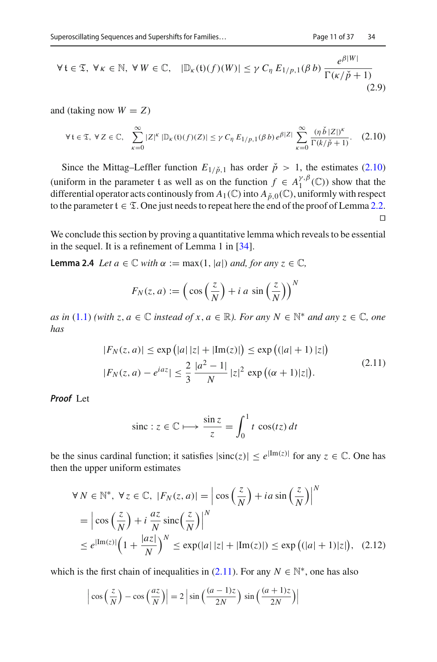$$
\forall t \in \mathfrak{T}, \ \forall \kappa \in \mathbb{N}, \ \forall \, W \in \mathbb{C}, \quad |\mathbb{D}_{\kappa}(\mathfrak{t})(f)(W)| \leq \gamma \, C_{\eta} \, E_{1/p,1}(\beta \, b) \, \frac{e^{\beta |W|}}{\Gamma(\kappa / \check{p} + 1)} \tag{2.9}
$$

and (taking now  $W = Z$ )

<span id="page-12-0"></span>
$$
\forall \, t \in \mathfrak{T}, \ \forall \, Z \in \mathbb{C}, \quad \sum_{\kappa=0}^{\infty} |Z|^{\kappa} \, |\mathbb{D}_{\kappa}(\mathfrak{t})(f)(Z)| \leq \gamma \, C_{\eta} \, E_{1/p,1}(\beta \, b) \, e^{\beta |Z|} \, \sum_{\kappa=0}^{\infty} \frac{(\eta \, \check{b} \, |Z|)^{\kappa}}{\Gamma(k/\check{p}+1)} . \tag{2.10}
$$

Since the Mittag–Leffler function  $E_{1/\check{p},1}$  has order  $\check{p} > 1$ , the estimates [\(2.10\)](#page-12-0) (uniform in the parameter t as well as on the function  $f \in A_1^{\gamma,\beta}(\mathbb{C})$ ) show that the differential operator acts continously from  $A_1(\mathbb{C})$  into  $A_{\rho,0}(\mathbb{C})$ , uniformly with respect to the parameter  $t \in \mathcal{I}$ . One just needs to repeat here the end of the proof of Lemma [2.2.](#page-9-2)  $\Box$ 

<span id="page-12-4"></span>We conclude this section by proving a quantitative lemma which reveals to be essential in the sequel. It is a refinement of Lemma 1 in [\[34\]](#page-38-9).

**Lemma 2.4** *Let*  $a \in \mathbb{C}$  *with*  $\alpha := \max(1, |a|)$  *and, for any*  $z \in \mathbb{C}$ *,* 

$$
F_N(z, a) := \left(\cos\left(\frac{z}{N}\right) + i a \sin\left(\frac{z}{N}\right)\right)^N
$$

*as in* [\(1.1\)](#page-3-0) *(with z*, *a* ∈  $\mathbb C$  *instead of x*, *a* ∈  $\mathbb R$ *). For any N* ∈  $\mathbb N^*$  *and any z* ∈  $\mathbb C$ *, one has*

<span id="page-12-1"></span>
$$
|F_N(z, a)| \le \exp(|a||z| + |\text{Im}(z)|) \le \exp((|a| + 1) |z|)
$$
  

$$
|F_N(z, a) - e^{iaz}| \le \frac{2}{3} \frac{|a^2 - 1|}{N} |z|^2 \exp((\alpha + 1)|z|).
$$
 (2.11)

*Proof* Let

$$
\operatorname{sinc}: z \in \mathbb{C} \longmapsto \frac{\sin z}{z} = \int_0^1 t \, \cos(tz) \, dt
$$

be the sinus cardinal function; it satisfies  $|\text{sinc}(z)| \leq e^{|{\text{Im}(z)}|}$  for any  $z \in \mathbb{C}$ . One has then the upper uniform estimates

<span id="page-12-3"></span>
$$
\forall N \in \mathbb{N}^*, \ \forall z \in \mathbb{C}, \ |F_N(z, a)| = \left| \cos\left(\frac{z}{N}\right) + ia \sin\left(\frac{z}{N}\right) \right|^N
$$
  
=  $\left| \cos\left(\frac{z}{N}\right) + i \frac{az}{N} \text{sinc}\left(\frac{z}{N}\right) \right|^N$   
 $\leq e^{\left|\text{Im}(z)\right|} \left(1 + \frac{|az|}{N}\right)^N \leq \exp(|a| |z| + |\text{Im}(z)|) \leq \exp\left((|a| + 1)|z|\right), \quad (2.12)$ 

which is the first chain of inequalities in  $(2.11)$ . For any  $N \in \mathbb{N}^*$ , one has also

<span id="page-12-2"></span>
$$
\left|\cos\left(\frac{z}{N}\right) - \cos\left(\frac{az}{N}\right)\right| = 2\left|\sin\left(\frac{(a-1)z}{2N}\right)\sin\left(\frac{(a+1)z}{2N}\right)\right|
$$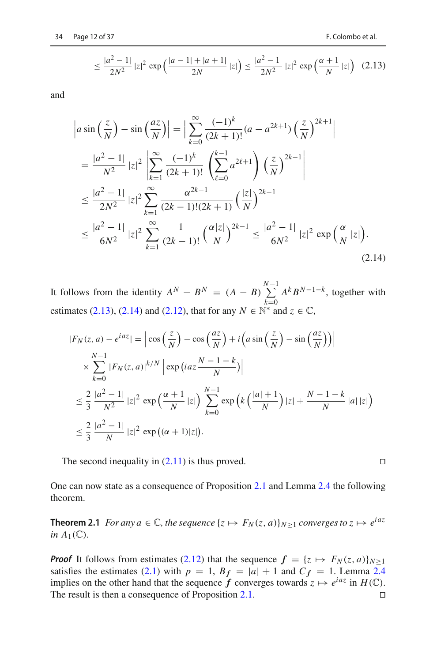$$
\leq \frac{|a^2 - 1|}{2N^2} |z|^2 \exp\left(\frac{|a - 1| + |a + 1|}{2N} |z|\right) \leq \frac{|a^2 - 1|}{2N^2} |z|^2 \exp\left(\frac{\alpha + 1}{N} |z|\right) (2.13)
$$

and

<span id="page-13-0"></span>
$$
\begin{split}\n\left| a \sin \left( \frac{z}{N} \right) - \sin \left( \frac{az}{N} \right) \right| &= \left| \sum_{k=0}^{\infty} \frac{(-1)^k}{(2k+1)!} (a - a^{2k+1}) \left( \frac{z}{N} \right)^{2k+1} \right| \\
&= \frac{|a^2 - 1|}{N^2} |z|^2 \left| \sum_{k=1}^{\infty} \frac{(-1)^k}{(2k+1)!} \left( \sum_{\ell=0}^{k-1} a^{2\ell+1} \right) \left( \frac{z}{N} \right)^{2k-1} \right| \\
&\le \frac{|a^2 - 1|}{2N^2} |z|^2 \sum_{k=1}^{\infty} \frac{\alpha^{2k-1}}{(2k-1)!(2k+1)} \left( \frac{|z|}{N} \right)^{2k-1} \\
&\le \frac{|a^2 - 1|}{6N^2} |z|^2 \sum_{k=1}^{\infty} \frac{1}{(2k-1)!} \left( \frac{\alpha |z|}{N} \right)^{2k-1} \le \frac{|a^2 - 1|}{6N^2} |z|^2 \exp \left( \frac{\alpha}{N} |z| \right).\n\end{split} \tag{2.14}
$$

It follows from the identity  $A^N - B^N = (A - B) \sum_{n=0}^{N-1}$  $k=0$ *A<sup>k</sup> BN*−1−*<sup>k</sup>* , together with estimates [\(2.13\)](#page-12-2), [\(2.14\)](#page-13-0) and [\(2.12\)](#page-12-3), that for any  $N \in \mathbb{N}^*$  and  $z \in \mathbb{C}$ ,

$$
\begin{split} |F_N(z,a) - e^{iaz}| &= \left| \cos\left(\frac{z}{N}\right) - \cos\left(\frac{az}{N}\right) + i\left(a\sin\left(\frac{z}{N}\right) - \sin\left(\frac{az}{N}\right)\right) \right| \\ &\quad \times \sum_{k=0}^{N-1} |F_N(z,a)|^{k/N} \left| \exp\left(iaz\frac{N-1-k}{N}\right) \right| \\ &\leq \frac{2}{3} \frac{|a^2-1|}{N^2} |z|^2 \exp\left(\frac{\alpha+1}{N} |z|\right) \sum_{k=0}^{N-1} \exp\left(k\left(\frac{|a|+1}{N}\right) |z| + \frac{N-1-k}{N} |a| |z|\right) \\ &\leq \frac{2}{3} \frac{|a^2-1|}{N} |z|^2 \exp\left((\alpha+1)|z|\right). \end{split}
$$

The second inequality in  $(2.11)$  is thus proved.

<span id="page-13-1"></span>One can now state as a consequence of Proposition [2.1](#page-8-1) and Lemma [2.4](#page-12-4) the following theorem.

**Theorem 2.1** *For any a*  $\in \mathbb{C}$ *, the sequence*  $\{z \mapsto F_N(z, a)\}_{N \geq 1}$  *converges to*  $z \mapsto e^{iaz}$ *in*  $A_1(\mathbb{C})$ *.* 

*Proof* It follows from estimates [\(2.12\)](#page-12-3) that the sequence  $f = \{z \mapsto F_N(z, a)\}_{N \geq 1}$ satisfies the estimates [\(2.1\)](#page-8-2) with  $p = 1$ ,  $B_f = |a| + 1$  and  $C_f = 1$ . Lemma [2.4](#page-12-4) implies on the other hand that the sequence *f* converges towards  $z \mapsto e^{iaz}$  in  $H(\mathbb{C})$ .<br>The result is then a consequence of Proposition 2.1. The result is then a consequence of Proposition [2.1.](#page-8-1)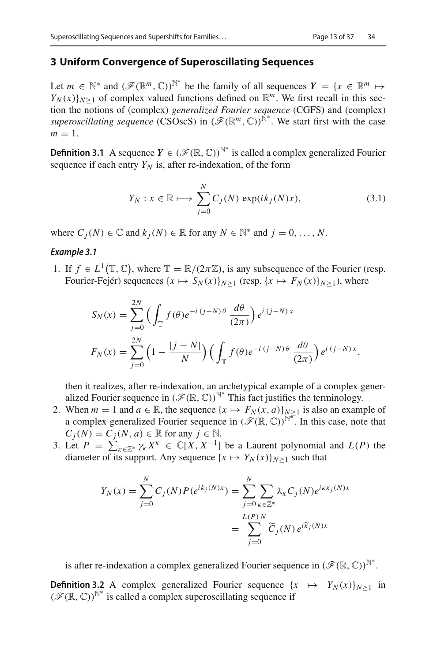#### <span id="page-14-0"></span>**3 Uniform Convergence of Superoscillating Sequences**

Let  $m \in \mathbb{N}^*$  and  $(\mathscr{F}(\mathbb{R}^m, \mathbb{C}))^{\mathbb{N}^*}$  be the family of all sequences  $Y = \{x \in \mathbb{R}^m \mapsto \mathbb{N}^* \mid x \in \mathbb{N}^m\}$  $Y_N(x)|_{N>1}$  of complex valued functions defined on  $\mathbb{R}^m$ . We first recall in this section the notions of (complex) *generalized Fourier sequence* (CGFS) and (complex) *superoscillating sequence* (CSOscS) in  $(\mathscr{F}(\mathbb{R}^m, \mathbb{C}))^{\hat{\mathbb{N}}^*}$ . We start first with the case  $m=1$ .

<span id="page-14-4"></span>**Definition 3.1** A sequence  $Y \in (\mathcal{F}(\mathbb{R}, \mathbb{C}))^{\mathbb{N}^*}$  is called a complex generalized Fourier sequence if each entry  $Y_N$  is, after re-indexation, of the form

<span id="page-14-1"></span>
$$
Y_N: x \in \mathbb{R} \longmapsto \sum_{j=0}^N C_j(N) \exp(ik_j(N)x), \tag{3.1}
$$

<span id="page-14-3"></span>where  $C_i(N) \in \mathbb{C}$  and  $k_i(N) \in \mathbb{R}$  for any  $N \in \mathbb{N}^*$  and  $j = 0, \ldots, N$ .

#### *Example 3.1*

1. If  $f \in L^1(\mathbb{T}, \mathbb{C})$ , where  $\mathbb{T} = \mathbb{R}/(2\pi \mathbb{Z})$ , is any subsequence of the Fourier (resp. Fourier-Fejér) sequences  $\{x \mapsto S_N(x)\}_{N>1}$  (resp.  $\{x \mapsto F_N(x)\}_{N>1}$ ), where

$$
S_N(x) = \sum_{j=0}^{2N} \left( \int_{\mathbb{T}} f(\theta) e^{-i (j-N)\theta} \frac{d\theta}{(2\pi)} \right) e^{i (j-N)x}
$$
  

$$
F_N(x) = \sum_{j=0}^{2N} \left( 1 - \frac{|j-N|}{N} \right) \left( \int_{\mathbb{T}} f(\theta) e^{-i (j-N)\theta} \frac{d\theta}{(2\pi)} \right) e^{i (j-N)x},
$$

then it realizes, after re-indexation, an archetypical example of a complex generalized Fourier sequence in  $(\mathscr{F}(\mathbb{R}, \mathbb{C}))^{\mathbb{N}^*}$  This fact justifies the terminology.

- 2. When  $m = 1$  and  $a \in \mathbb{R}$ , the sequence  $\{x \mapsto F_N(x, a)\}_{N \ge 1}$  is also an example of a complex generalized Fourier sequence in  $(\mathscr{F}(\mathbb{R}, \mathbb{C}))^{\mathbb{N}^*}$ . In this case, note that  $C_i(N) = C_i(N, a) \in \mathbb{R}$  for any  $j \in \mathbb{N}$ .
- 3. Let  $P = \sum_{k \in \mathbb{Z}^*} \gamma_k X^k \in \mathbb{C}[X, X^{-1}]$  be a Laurent polynomial and  $L(P)$  the diameter of its support. Any sequence  $\{x \mapsto Y_N(x)\}_{N>1}$  such that

$$
Y_N(x) = \sum_{j=0}^N C_j(N) P(e^{ik_j(N)x}) = \sum_{j=0}^N \sum_{\kappa \in \mathbb{Z}^*} \lambda_{\kappa} C_j(N) e^{i\kappa \kappa_j(N)x}
$$

$$
= \sum_{j=0}^{L(P)} \widetilde{C}_j(N) e^{i\widetilde{\kappa}_j(N)x}
$$

is after re-indexation a complex generalized Fourier sequence in  $(\mathscr{F}(\mathbb{R}, \mathbb{C}))^{\mathbb{N}^*}$ .

<span id="page-14-2"></span>**Definition 3.2** A complex generalized Fourier sequence  $\{x \mapsto Y_N(x)\}_{N>1}$  in  $(\mathscr{F}(\mathbb{R}, \mathbb{C}))^{\mathbb{N}^*}$  is called a complex superoscillating sequence if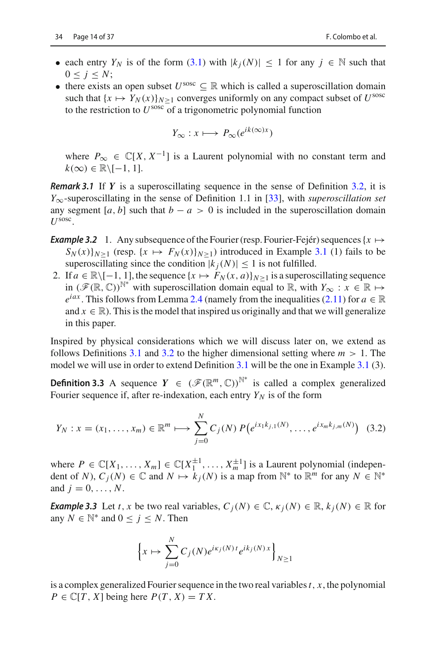- each entry  $Y_N$  is of the form [\(3.1\)](#page-14-1) with  $|k_i(N)| \leq 1$  for any  $j \in \mathbb{N}$  such that  $0 \leq j \leq N$ ;
- there exists an open subset  $U^{\text{sosc}} \subseteq \mathbb{R}$  which is called a superoscillation domain such that  ${x \mapsto Y_N(x)}_{N \geq 1}$  converges uniformly on any compact subset of  $U^{\text{sosc}}$ to the restriction to *U*sosc of a trigonometric polynomial function

$$
Y_{\infty}: x \longmapsto P_{\infty}(e^{ik(\infty)x})
$$

where  $P_{\infty} \in \mathbb{C}[X, X^{-1}]$  is a Laurent polynomial with no constant term and  $k(\infty) \in \mathbb{R} \setminus [-1, 1].$ 

*Remark 3.1* If *Y* is a superoscillating sequence in the sense of Definition [3.2,](#page-14-2) it is *Y*∞-superoscillating in the sense of Definition 1.1 in [\[33](#page-38-8)], with *superoscillation set* any segment [ $a, b$ ] such that  $b - a > 0$  is included in the superoscillation domain *U*sosc.

- <span id="page-15-1"></span>*Example 3.2* 1. Any subsequence of the Fourier (resp. Fourier-Fejér) sequences  $\{x \mapsto$  $S_N(x)|_{N>1}$  (resp.  $\{x \mapsto F_N(x)\}_{N>1}$ ) introduced in Example [3.1](#page-14-3) (1) fails to be superoscillating since the condition  $|k_i(N)| \leq 1$  is not fulfilled.
- 2. If  $a \in \mathbb{R} \setminus [-1, 1]$ , the sequence  $\{x \mapsto F_N(x, a)\}_{N>1}$  is a superoscillating sequence in  $(\mathscr{F}(\mathbb{R}, \mathbb{C}))^{\mathbb{N}^*}$  with superoscillation domain equal to  $\mathbb{R}$ , with *Y*<sub>∞</sub> : *x* ∈  $\mathbb{R} \mapsto$  $e^{iax}$ . This follows from Lemma [2.4](#page-12-4) (namely from the inequalities [\(2.11\)](#page-12-1) for  $a \in \mathbb{R}$ and  $x \in \mathbb{R}$ ). This is the model that inspired us originally and that we will generalize in this paper.

Inspired by physical considerations which we will discuss later on, we extend as follows Definitions [3.1](#page-14-4) and [3.2](#page-14-2) to the higher dimensional setting where  $m > 1$ . The model we will use in order to extend Definition [3.1](#page-14-4) will be the one in Example [3.1](#page-14-3) (3).

**Definition 3.3** A sequence  $Y \in (\mathcal{F}(\mathbb{R}^m, \mathbb{C}))^{\mathbb{N}^*}$  is called a complex generalized Fourier sequence if, after re-indexation, each entry  $Y_N$  is of the form

<span id="page-15-0"></span>
$$
Y_N : x = (x_1, \dots, x_m) \in \mathbb{R}^m \longmapsto \sum_{j=0}^N C_j(N) P(e^{ix_1k_{j,1}(N)}, \dots, e^{ix_mk_{j,m}(N)}) \quad (3.2)
$$

where  $P \in \mathbb{C}[X_1, \ldots, X_m] \in \mathbb{C}[X_1^{\pm 1}, \ldots, X_m^{\pm 1}]$  is a Laurent polynomial (independent of *N*),  $C_i(N) \in \mathbb{C}$  and  $N \mapsto k_i(N)$  is a map from  $\mathbb{N}^*$  to  $\mathbb{R}^m$  for any  $N \in \mathbb{N}^*$ and  $j = 0, ..., N$ .

<span id="page-15-2"></span>*Example 3.3* Let *t*, *x* be two real variables,  $C_i(N) \in \mathbb{C}$ ,  $\kappa_i(N) \in \mathbb{R}$ ,  $k_i(N) \in \mathbb{R}$  for any  $N \in \mathbb{N}^*$  and  $0 \leq j \leq N$ . Then

$$
\left\{x \mapsto \sum_{j=0}^{N} C_j(N) e^{ik_j(N)t} e^{ik_j(N)x} \right\}_{N \ge 1}
$$

is a complex generalized Fourier sequence in the two real variables*t*, *x*, the polynomial  $P \in \mathbb{C}[T, X]$  being here  $P(T, X) = TX$ .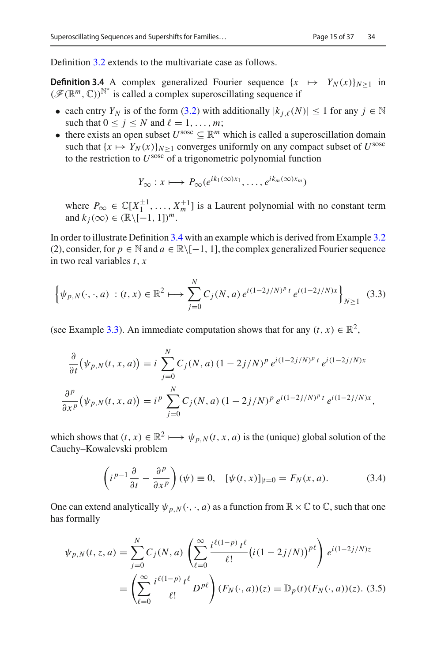<span id="page-16-0"></span>Definition [3.2](#page-14-2) extends to the multivariate case as follows.

**Definition 3.4** A complex generalized Fourier sequence  $\{x \mapsto Y_N(x)\}_{N>1}$  in ( $\mathcal{F}(\mathbb{R}^m, \mathbb{C})^{\mathbb{N}^*}$  is called a complex superoscillating sequence if

- each entry  $Y_N$  is of the form [\(3.2\)](#page-15-0) with additionally  $|k_i \rangle (N)| \le 1$  for any  $j \in \mathbb{N}$ such that  $0 \le j \le N$  and  $\ell = 1, \ldots, m$ ;
- there exists an open subset  $U^{\text{sosc}} \subseteq \mathbb{R}^m$  which is called a superoscillation domain such that  ${x \mapsto Y_N(x)}_{N>1}$  converges uniformly on any compact subset of *U*<sup>sosc</sup> to the restriction to  $U^{\text{ssoc}}$  of a trigonometric polynomial function

$$
Y_{\infty}: x \longmapsto P_{\infty}(e^{ik_1(\infty)x_1}, \dots, e^{ik_m(\infty)x_m})
$$

where  $P_{\infty} \in \mathbb{C}[X_1^{\pm 1}, \ldots, X_m^{\pm 1}]$  is a Laurent polynomial with no constant term and  $k_j(\infty) \in (\mathbb{R} \setminus [-1, 1])^m$ .

In order to illustrate Definition [3.4](#page-16-0) with an example which is derived from Example [3.2](#page-15-1) (2), consider, for  $p \in \mathbb{N}$  and  $a \in \mathbb{R} \setminus [-1, 1]$ , the complex generalized Fourier sequence in two real variables *t*, *x*

<span id="page-16-1"></span>
$$
\left\{\psi_{p,N}(\cdot,\cdot,a)\,:(t,x)\in\mathbb{R}^2\longmapsto\sum_{j=0}^N C_j(N,a)\,e^{i(1-2j/N)^p\,t}\,e^{i(1-2j/N)x}\right\}_{N\geq 1}\tag{3.3}
$$

(see Example [3.3\)](#page-15-2). An immediate computation shows that for any  $(t, x) \in \mathbb{R}^2$ ,

$$
\frac{\partial}{\partial t}(\psi_{p,N}(t,x,a)) = i \sum_{j=0}^{N} C_j(N,a) (1 - 2j/N)^p e^{i(1-2j/N)^p t} e^{i(1-2j/N)x}
$$

$$
\frac{\partial^p}{\partial x^p}(\psi_{p,N}(t,x,a)) = i^p \sum_{j=0}^{N} C_j(N,a) (1 - 2j/N)^p e^{i(1-2j/N)^p t} e^{i(1-2j/N)x},
$$

which shows that  $(t, x) \in \mathbb{R}^2 \mapsto \psi_{p,N}(t, x, a)$  is the (unique) global solution of the Cauchy–Kowalevski problem

<span id="page-16-2"></span>
$$
\left(i^{p-1}\frac{\partial}{\partial t} - \frac{\partial^p}{\partial x^p}\right)(\psi) \equiv 0, \quad [\psi(t,x)]_{|t=0} = F_N(x,a). \tag{3.4}
$$

One can extend analytically  $\psi_{p,N}(\cdot,\cdot,a)$  as a function from  $\mathbb{R}\times\mathbb{C}$  to  $\mathbb{C}$ , such that one has formally

$$
\psi_{p,N}(t,z,a) = \sum_{j=0}^{N} C_j(N,a) \left( \sum_{\ell=0}^{\infty} \frac{i^{\ell(1-p)} t^{\ell}}{\ell!} \left( i(1-2j/N) \right)^{p\ell} \right) e^{i(1-2j/N)z}
$$

$$
= \left( \sum_{\ell=0}^{\infty} \frac{i^{\ell(1-p)} t^{\ell}}{\ell!} D^{p\ell} \right) (F_N(\cdot,a))(z) = \mathbb{D}_p(t) (F_N(\cdot,a))(z). \tag{3.5}
$$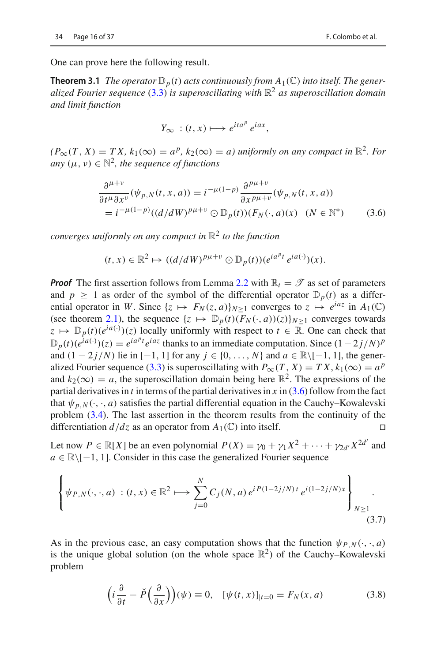One can prove here the following result.

**Theorem 3.1** *The operator*  $\mathbb{D}_p(t)$  *acts continuously from*  $A_1(\mathbb{C})$  *into itself. The generalized Fourier sequence* [\(3.3\)](#page-16-1) *is superoscillating with* R<sup>2</sup> *as superoscillation domain and limit function*

$$
Y_{\infty} : (t, x) \longmapsto e^{ita^p} e^{iax},
$$

 $(P_{\infty}(T, X) = TX, k_1(\infty) = a^p, k_2(\infty) = a)$  uniformly on any compact in  $\mathbb{R}^2$ . For *any*  $(\mu, \nu) \in \mathbb{N}^2$ , the sequence of functions

<span id="page-17-0"></span>
$$
\frac{\partial^{\mu+\nu}}{\partial t^{\mu}\partial x^{\nu}}(\psi_{p,N}(t,x,a)) = i^{-\mu(1-p)}\frac{\partial^{p\mu+\nu}}{\partial x^{p\mu+\nu}}(\psi_{p,N}(t,x,a))
$$
  
=  $i^{-\mu(1-p)}((d/dW)^{p\mu+\nu}\odot\mathbb{D}_p(t))(F_N(\cdot,a)(x)\quad (N\in\mathbb{N}^*)$  (3.6)

*converges uniformly on any compact in* R<sup>2</sup> *to the function*

$$
(t,x)\in\mathbb{R}^2\mapsto((d/dW)^{p\mu+\nu}\odot\mathbb{D}_p(t))(e^{ia^pt}\,e^{ia(\cdot)})(x).
$$

*Proof* The first assertion follows from Lemma [2.2](#page-9-2) with  $\mathbb{R}_t = \mathcal{T}$  as set of parameters and  $p \ge 1$  as order of the symbol of the differential operator  $\mathbb{D}_p(t)$  as a differential operator in *W*. Since  $\{z \mapsto F_N(z, a)\}_{N>1}$  converges to  $z \mapsto e^{iaz}$  in  $A_1(\mathbb{C})$ (see theorem [2.1\)](#page-13-1), the sequence  $\{z \mapsto \mathbb{D}_p(t)(F_N(\cdot, a))(z)\}_{N>1}$  converges towards  $z \mapsto \mathbb{D}_p(t)(e^{ia(\cdot)})$ (*z*) locally uniformly with respect to  $t \in \mathbb{R}$ . One can check that  $\mathbb{D}_p(t)(e^{ia(\cdot)})(z) = e^{ia^pt}e^{iaz}$  thanks to an immediate computation. Since  $(1-2j/N)^p$ and  $(1 - 2j/N)$  lie in [−1, 1] for any  $j \in \{0, ..., N\}$  and  $a \in \mathbb{R} \setminus [-1, 1]$ , the gener-alized Fourier sequence [\(3.3\)](#page-16-1) is superoscillating with  $P_{\infty}(T, X) = TX$ ,  $k_1(\infty) = a^p$ and  $k_2(\infty) = a$ , the superoscillation domain being here  $\mathbb{R}^2$ . The expressions of the partial derivatives in *t* in terms of the partial derivatives in *x* in [\(3.6\)](#page-17-0) follow from the fact that  $\psi_{p,N}(\cdot,\cdot,a)$  satisfies the partial differential equation in the Cauchy–Kowalevski problem [\(3.4\)](#page-16-2). The last assertion in the theorem results from the continuity of the differentiation  $d/dz$  as an operator from  $A_1(\mathbb{C})$  into itself.

Let now  $P \in \mathbb{R}[X]$  be an even polynomial  $P(X) = \gamma_0 + \gamma_1 X^2 + \cdots + \gamma_{2d'} X^{2d'}$  and *a* ∈ R\[−1, 1]. Consider in this case the generalized Fourier sequence

$$
\left\{\psi_{P,N}(\cdot,\cdot,a) : (t,x) \in \mathbb{R}^2 \longmapsto \sum_{j=0}^N C_j(N,a) e^{i P(1-2j/N)t} e^{i(1-2j/N)x} \right\}_{N \ge 1}
$$
\n(3.7)

As in the previous case, an easy computation shows that the function  $\psi_{P,N}(\cdot, \cdot, a)$ is the unique global solution (on the whole space  $\mathbb{R}^2$ ) of the Cauchy–Kowalevski problem

<span id="page-17-1"></span>
$$
\left(i\frac{\partial}{\partial t} - \check{P}\left(\frac{\partial}{\partial x}\right)\right)(\psi) \equiv 0, \quad [\psi(t, x)]_{|t=0} = F_N(x, a)
$$
\n(3.8)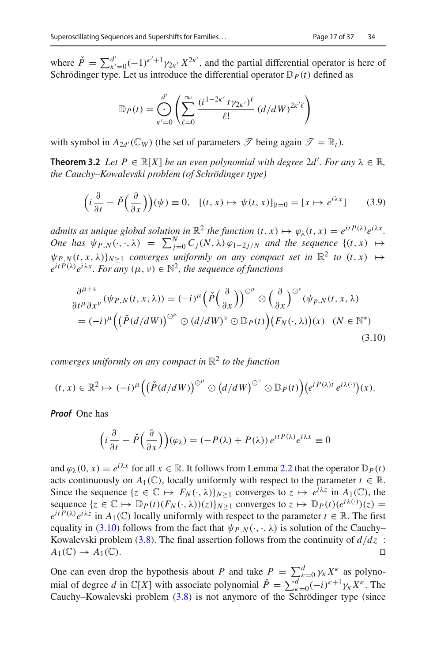where  $\check{P} = \sum_{k'=0}^{d'} (-1)^{k'+1} \gamma_{2k'} X^{2k'}$ , and the partial differential operator is here of Schrödinger type. Let us introduce the differential operator  $\mathbb{D}_P(t)$  defined as

$$
\mathbb{D}_P(t) = \bigoplus_{\kappa'=0}^{d'} \left( \sum_{\ell=0}^{\infty} \frac{(i^{1-2\kappa'} t \gamma_{2\kappa'})^{\ell}}{\ell!} (d/dW)^{2\kappa'\ell} \right)
$$

<span id="page-18-1"></span>with symbol in  $A_{2d'}(\mathbb{C}_W)$  (the set of parameters  $\mathscr{T}$  being again  $\mathscr{T} = \mathbb{R}_t$ ).

**Theorem 3.2** *Let*  $P \in \mathbb{R}[X]$  *be an even polynomial with degree* 2*d'. For any*  $\lambda \in \mathbb{R}$ *, the Cauchy–Kowalevski problem (of Schrödinger type)*

$$
\left(i\frac{\partial}{\partial t} - \check{P}\left(\frac{\partial}{\partial x}\right)\right)(\psi) \equiv 0, \quad [(t, x) \mapsto \psi(t, x)]_{|t=0} = [x \mapsto e^{i\lambda x}] \tag{3.9}
$$

*admits as unique global solution in*  $\mathbb{R}^2$  *the function*  $(t, x) \mapsto \varphi_\lambda(t, x) = e^{itP(\lambda)}e^{i\lambda x}$ . *One has*  $\psi_{P,N}(\cdot,\cdot,\lambda) = \sum_{j=0}^{N} C_j(N,\lambda) \varphi_{1-2j/N}$  and the sequence  $\{(t,x) \mapsto$  $\Psi_{P,N}(t, x, \lambda)|_{N>1}$  *converges uniformly on any compact set in*  $\mathbb{R}^2$  *to*  $(t, x) \mapsto$  $e^{itP(\lambda)}e^{i\lambda x}$ . For any  $(\mu, \nu) \in \mathbb{N}^2$ , the sequence of functions

<span id="page-18-0"></span>
$$
\frac{\partial^{\mu+\nu}}{\partial t^{\mu}\partial x^{\nu}}(\psi_{P,N}(t,x,\lambda)) = (-i)^{\mu} \left(\check{P}\left(\frac{\partial}{\partial x}\right)\right)^{\odot^{\mu}} \odot \left(\frac{\partial}{\partial x}\right)^{\odot^{\nu}}(\psi_{P,N}(t,x,\lambda)) \n= (-i)^{\mu} \left(\left(\check{P}(d/dW)\right)^{\odot^{\mu}} \odot (d/dW)^{\nu} \odot \mathbb{D}_P(t)\right) \left(F_N(\cdot,\lambda)\right)(x) \quad (N \in \mathbb{N}^*)
$$
\n(3.10)

*converges uniformly on any compact in* R<sup>2</sup> *to the function*

$$
(t,x)\in\mathbb{R}^2\mapsto(-i)^{\mu}\Big(\big(\check{P}(d/dW)\big)^{\odot^{\mu}}\odot\big(d/dW\big)^{\odot^{\nu}}\odot\mathbb{D}_P(t)\Big)\big(e^{iP(\lambda)t}\,e^{i\lambda(\cdot)}\big)(x).
$$

*Proof* One has

$$
\left(i\frac{\partial}{\partial t} - \check{P}\left(\frac{\partial}{\partial x}\right)\right)(\varphi_{\lambda}) = (-P(\lambda) + P(\lambda))e^{itP(\lambda)}e^{i\lambda x} \equiv 0
$$

and  $\varphi_{\lambda}(0, x) = e^{i\lambda x}$  for all  $x \in \mathbb{R}$ . It follows from Lemma [2.2](#page-9-2) that the operator  $\mathbb{D}_P(t)$ acts continuously on  $A_1(\mathbb{C})$ , locally uniformly with respect to the parameter  $t \in \mathbb{R}$ . Since the sequence  $\{z \in \mathbb{C} \mapsto F_N(\cdot, \lambda)\}_{N>1}$  converges to  $z \mapsto e^{i\lambda z}$  in  $A_1(\mathbb{C})$ , the sequence  $\{z \in \mathbb{C} \mapsto \mathbb{D}_P(t)(F_N(\cdot, \lambda))(z)\}_{N \ge 1}$  converges to  $z \mapsto \mathbb{D}_P(t)(e^{i\lambda(\cdot)})(z) =$  $e^{itP(\lambda)}e^{i\lambda z}$  in  $A_1(\mathbb{C})$  locally uniformly with respect to the parameter  $t \in \mathbb{R}$ . The first equality in [\(3.10\)](#page-18-0) follows from the fact that  $\psi_{P,N}(\cdot, \cdot, \lambda)$  is solution of the Cauchy– Kowalevski problem [\(3.8\)](#page-17-1). The final assertion follows from the continuity of  $d/dz$  :<br> $A_1(\mathbb{C}) \rightarrow A_1(\mathbb{C})$  $A_1(\mathbb{C}) \rightarrow A_1(\mathbb{C})$ .

One can even drop the hypothesis about *P* and take  $P = \sum_{k=0}^{d} \gamma_k X^k$  as polynomial of degree *d* in  $\mathbb{C}[X]$  with associate polynomial  $\check{P} = \sum_{\kappa=0}^{d} (-i)^{\kappa+1} \gamma_{\kappa} X^{\kappa}$ . The Cauchy–Kowalevski problem [\(3.8\)](#page-17-1) is not anymore of the Schrödinger type (since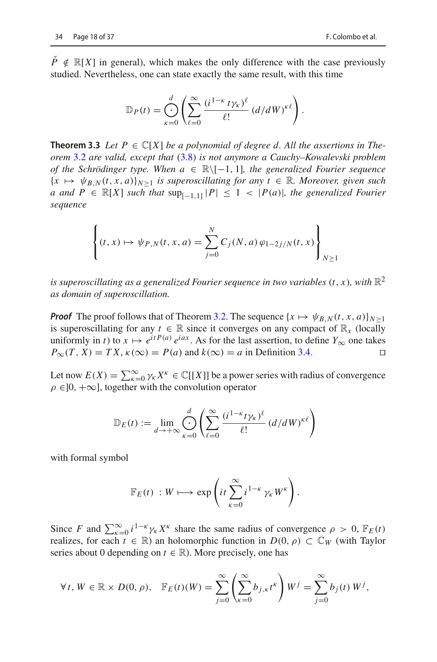$\check{P} \notin \mathbb{R}[X]$  in general), which makes the only difference with the case previously studied. Nevertheless, one can state exactly the same result, with this time

$$
\mathbb{D}_P(t) = \bigoplus_{\kappa=0}^d \left( \sum_{\ell=0}^\infty \frac{(i^{1-\kappa} t \gamma_\kappa)^\ell}{\ell!} (d/dW)^{\kappa \ell} \right).
$$

<span id="page-19-0"></span>**Theorem 3.3** Let  $P \in \mathbb{C}[X]$  be a polynomial of degree d. All the assertions in The*orem* [3.2](#page-18-1) *are valid, except that* [\(3.8\)](#page-17-1) *is not anymore a Cauchy–Kowalevski problem of the Schrödinger type. When a* <sup>∈</sup> <sup>R</sup>\[−1, <sup>1</sup>]*, the generalized Fourier sequence*  ${x \mapsto \psi_{B,N}(t, x, a)}_{N>1}$  *is superoscillating for any t*  $\in \mathbb{R}$ *. Moreover, given such a* and  $P$  ∈  $\mathbb{R}[X]$  *such that*  $\sup_{[-1,1]} |P| \leq 1 < |P(a)|$ *, the generalized Fourier sequence*

$$
\left\{ (t, x) \mapsto \psi_{P,N}(t, x, a) = \sum_{j=0}^{N} C_j(N, a) \, \varphi_{1-2j/N}(t, x) \right\}_{N \ge 1}
$$

*is superoscillating as a generalized Fourier sequence in two variables*  $(t, x)$ *, with*  $\mathbb{R}^2$ *as domain of superoscillation.*

*Proof* The proof follows that of Theorem [3.2.](#page-18-1) The sequence  $\{x \mapsto \psi_{B,N}(t, x, a)\}_{N \geq 1}$ is superoscillating for any  $t \in \mathbb{R}$  since it converges on any compact of  $\mathbb{R}_x$  (locally uniformly in *t*) to  $x \mapsto e^{itP(a)} e^{iax}$ . As for the last assertion, to define  $Y_{\infty}$  one takes  $P_{\infty}(T, X) = TX$ ,  $\kappa(\infty) = P(a)$  and  $k(\infty) = a$  in Definition 3.4.  $P_{\infty}(T, X) = TX$ ,  $\kappa(\infty) = P(a)$  and  $k(\infty) = a$  in Definition [3.4.](#page-16-0)

Let now  $E(X) = \sum_{k=0}^{\infty} \gamma_k X^k \in \mathbb{C}[[X]]$  be a power series with radius of convergence  $\rho \in ]0, +\infty]$ , together with the convolution operator

$$
\mathbb{D}_E(t) := \lim_{d \to +\infty} \bigoplus_{\kappa=0}^d \left( \sum_{\ell=0}^\infty \frac{(i^{1-\kappa} t \gamma_\kappa)^\ell}{\ell!} \left( \frac{d}{d} W \right)^{\kappa \ell} \right)
$$

with formal symbol

$$
\mathbb{F}_E(t) : W \longmapsto \exp\left(it\sum_{\kappa=0}^{\infty} i^{1-\kappa} \gamma_{\kappa} W^{\kappa}\right).
$$

Since *F* and  $\sum_{k=0}^{\infty} i^{1-k} \gamma_k X^k$  share the same radius of convergence  $\rho > 0$ ,  $\mathbb{F}_E(t)$ realizes, for each  $t \in \mathbb{R}$ ) an holomorphic function in  $D(0, \rho) \subset \mathbb{C}_W$  (with Taylor series about 0 depending on  $t \in \mathbb{R}$ ). More precisely, one has

$$
\forall t, W \in \mathbb{R} \times D(0, \rho), \quad \mathbb{F}_E(t)(W) = \sum_{j=0}^{\infty} \left( \sum_{\kappa=0}^{\infty} b_{j,\kappa} t^{\kappa} \right) W^j = \sum_{j=0}^{\infty} b_j(t) W^j,
$$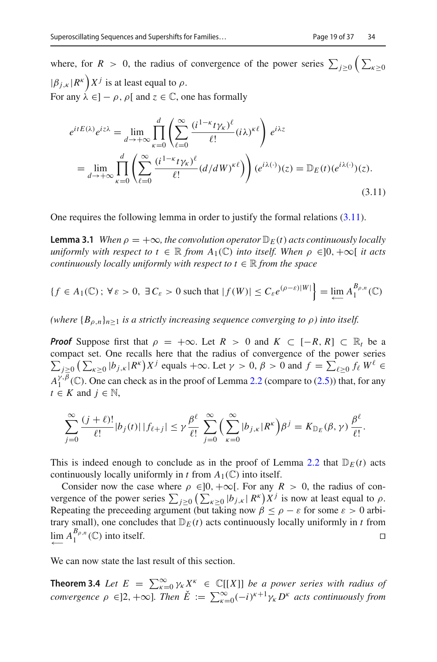where, for *R* > 0, the radius of convergence of the power series  $\sum_{j\geq 0} \left( \sum_{\kappa \geq 0} \right)$  $|\beta_{j,\kappa}| R^{\kappa}$   $\bigg) X^j$  is at least equal to  $\rho$ . For any  $\lambda \in ]-\rho, \rho[$  and  $z \in \mathbb{C}$ , one has formally

<span id="page-20-0"></span>
$$
e^{itE(\lambda)}e^{iz\lambda} = \lim_{d \to +\infty} \prod_{\kappa=0}^{d} \left( \sum_{\ell=0}^{\infty} \frac{(i^{1-\kappa}t\gamma_{\kappa})^{\ell}}{\ell!} (i\lambda)^{\kappa\ell} \right) e^{i\lambda z}
$$
  
= 
$$
\lim_{d \to +\infty} \prod_{\kappa=0}^{d} \left( \sum_{\ell=0}^{\infty} \frac{(i^{1-\kappa}t\gamma_{\kappa})^{\ell}}{\ell!} (d/dW)^{\kappa\ell} \right) (e^{i\lambda(\cdot)})(z) = \mathbb{D}_E(t) (e^{i\lambda(\cdot)})(z).
$$
(3.11)

<span id="page-20-1"></span>One requires the following lemma in order to justify the formal relations [\(3.11\)](#page-20-0).

**Lemma 3.1** *When*  $\rho = +\infty$ *, the convolution operator*  $\mathbb{D}_E(t)$  *acts continuously locally uniformly with respect to t*  $\in \mathbb{R}$  *from*  $A_1(\mathbb{C})$  *into itself. When*  $\rho \in ]0, +\infty[$  *it acts continuously locally uniformly with respect to*  $t \in \mathbb{R}$  *from the space* 

$$
\{f \in A_1(\mathbb{C}) \, ; \, \forall \, \varepsilon > 0, \, \exists \, C_{\varepsilon} > 0 \text{ such that } |f(W)| \le C_{\varepsilon} e^{(\rho - \varepsilon)|W|} \} = \lim_{\leftarrow} A_1^{B_{\rho, n}}(\mathbb{C})
$$

*(where*  ${B_{\rho,n}}_{n>1}$  *is a strictly increasing sequence converging to*  $\rho$ *) into itself.* 

*Proof* Suppose first that  $\rho = +\infty$ . Let  $R > 0$  and  $K \subset [-R, R] \subset \mathbb{R}$  be a compact set. One recalls here that the radius of convergence of the power series  $\sum_{j\geq 0} \left( \sum_{\kappa \geq 0} |b_{j,\kappa}| R^{\kappa} \right) X^j$  equals  $+\infty$ . Let  $\gamma > 0$ ,  $\beta > 0$  and  $f = \sum_{\ell \geq 0} f_{\ell} W^{\ell} \in$  $A_1^{\gamma,\beta}$  (C). One can check as in the proof of Lemma [2.2](#page-9-2) (compare to [\(2.5\)](#page-10-0)) that, for any  $t \in K$  and  $j \in \mathbb{N}$ ,

$$
\sum_{j=0}^{\infty} \frac{(j+\ell)!}{\ell!} |b_j(t)| |f_{\ell+j}| \leq \gamma \frac{\beta^{\ell}}{\ell!} \sum_{j=0}^{\infty} \Big( \sum_{\kappa=0}^{\infty} |b_{j,\kappa}| R^{\kappa} \Big) \beta^j = K_{\mathbb{D}_E}(\beta, \gamma) \frac{\beta^{\ell}}{\ell!}.
$$

This is indeed enough to conclude as in the proof of Lemma [2.2](#page-9-2) that  $D_E(t)$  acts continuously locally uniformly in *t* from  $A_1(\mathbb{C})$  into itself.

Consider now the case where  $\rho \in ]0, +\infty[$ . For any  $R > 0$ , the radius of convergence of the power series  $\sum_{j\geq 0} \left( \sum_{\kappa \geq 0} |b_{j,\kappa}| R^{\kappa} \right) X^j$  is now at least equal to  $\rho$ . Repeating the preceeding argument (but taking now  $\beta \leq \rho - \varepsilon$  for some  $\varepsilon > 0$  arbitrary small), one concludes that  $D_E(t)$  acts continuously locally uniformly in *t* from lim  $A_1^{B_{\rho,n}}$  (ℂ) into itself.

We can now state the last result of this section.

**Theorem 3.4** *Let*  $E = \sum_{\kappa=0}^{\infty} \gamma_{\kappa} X^{\kappa} \in \mathbb{C}[[X]]$  *be a power series with radius of convergence*  $\rho \in ]2, +\infty]$ *. Then*  $\check{E} := \sum_{\kappa=0}^{\infty} (-i)^{\kappa+1} \gamma_{\kappa} D^{\kappa}$  acts continuously from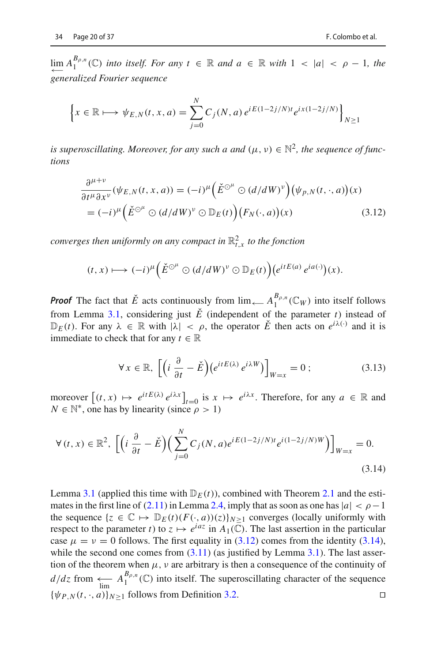$$
\left\{ x \in \mathbb{R} \longmapsto \psi_{E,N}(t,x,a) = \sum_{j=0}^{N} C_j(N,a) e^{iE(1-2j/N)t} e^{ix(1-2j/N)} \right\}_{N \ge 1}
$$

*is superoscillating. Moreover, for any such a and*  $(\mu, \nu) \in \mathbb{N}^2$ , the sequence of func*tions*

<span id="page-21-0"></span>
$$
\frac{\partial^{\mu+\nu}}{\partial t^{\mu}\partial x^{\nu}}(\psi_{E,N}(t,x,a)) = (-i)^{\mu} \left(\check{E}^{\odot^{\mu}} \odot (d/dW)^{\nu}\right) (\psi_{p,N}(t,\cdot,a))(x)
$$

$$
= (-i)^{\mu} \left(\check{E}^{\odot^{\mu}} \odot (d/dW)^{\nu} \odot \mathbb{D}_E(t)\right) (F_N(\cdot,a))(x)
$$
(3.12)

converges then uniformly on any compact in  $\mathbb{R}^2_{t,x}$  to the fonction

$$
(t,x)\longmapsto (-i)^{\mu}\Big(\check{E}^{\odot^{\mu}}\odot (d/dW)^{\nu}\odot \mathbb{D}_E(t)\Big)\Big(e^{itE(a)}\,e^{ia(\cdot)}\Big)(x).
$$

*Proof* The fact that  $\check{E}$  acts continuously from  $\lim_{\longleftarrow} A_1^{B_{\rho,n}}(\mathbb{C}_W)$  into itself follows from Lemma [3.1,](#page-20-1) considering just  $\check{E}$  (independent of the parameter *t*) instead of  $\mathbb{D}_E(t)$ . For any  $\lambda \in \mathbb{R}$  with  $|\lambda| < \rho$ , the operator  $\check{E}$  then acts on  $e^{i\lambda(\cdot)}$  and it is immediate to check that for any  $t \in \mathbb{R}$ 

$$
\forall x \in \mathbb{R}, \left[ \left( i \frac{\partial}{\partial t} - \check{E} \right) \left( e^{itE(\lambda)} e^{i\lambda W} \right) \right]_{W=x} = 0 ; \tag{3.13}
$$

moreover  $[(t, x) \mapsto e^{itE(\lambda)} e^{i\lambda x}]_{t=0}$  is  $x \mapsto e^{i\lambda x}$ . Therefore, for any  $a \in \mathbb{R}$  and  $N \in \mathbb{N}^*$ , one has by linearity (since  $\rho > 1$ )

<span id="page-21-1"></span>
$$
\forall (t, x) \in \mathbb{R}^2, \left[ \left( i \frac{\partial}{\partial t} - \check{E} \right) \left( \sum_{j=0}^N C_j(N, a) e^{iE(1 - 2j/N)t} e^{i(1 - 2j/N)W} \right) \right]_{W=x} = 0.
$$
\n(3.14)

Lemma [3.1](#page-20-1) (applied this time with  $D_F(t)$ ), combined with Theorem [2.1](#page-13-1) and the estimates in the first line of  $(2.11)$  in Lemma [2.4,](#page-12-4) imply that as soon as one has  $|a| < \rho - 1$ the sequence  $\{z \in \mathbb{C} \mapsto \mathbb{D}_E(t)(F(\cdot, a))(z)\}_{N>1}$  converges (locally uniformly with respect to the parameter *t*) to  $z \mapsto e^{iaz}$  in  $A_1(\overline{\mathbb{C}})$ . The last assertion in the particular case  $\mu = \nu = 0$  follows. The first equality in [\(3.12\)](#page-21-0) comes from the identity [\(3.14\)](#page-21-1), while the second one comes from  $(3.11)$  (as justified by Lemma [3.1\)](#page-20-1). The last assertion of the theorem when  $\mu$ ,  $\nu$  are arbitrary is then a consequence of the continuity of  $d/dz$  from  $\leftarrow_{\text{lim}} A_1^{B_{\rho,n}}(\mathbb{C})$  into itself. The superoscillating character of the sequence  ${\psi_{P,N}(t, \cdot, a)}_{N>1}$  follows from Definition [3.2.](#page-14-2)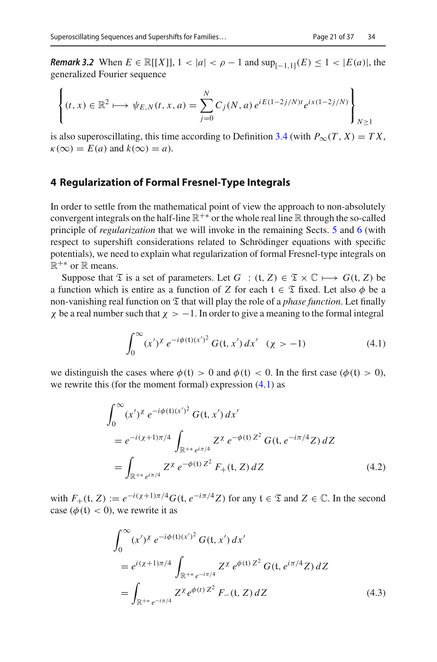*Remark 3.2* When  $E \in \mathbb{R}[[X]], 1 < |a| < \rho - 1$  and  $\sup_{[-1,1]}(E) \leq 1 < |E(a)|$ , the generalized Fourier sequence

$$
\left\{ (t, x) \in \mathbb{R}^2 \longmapsto \psi_{E,N}(t, x, a) = \sum_{j=0}^N C_j(N, a) e^{iE(1-2j/N)t} e^{ix(1-2j/N)} \right\}_{N \ge 1}
$$

is also superoscillating, this time according to Definition [3.4](#page-16-0) (with  $P_{\infty}(T, X) = TX$ ,  $\kappa(\infty) = E(a)$  and  $k(\infty) = a$ ).

#### <span id="page-22-0"></span>**4 Regularization of Formal Fresnel-Type Integrals**

In order to settle from the mathematical point of view the approach to non-absolutely convergent integrals on the half-line  $\mathbb{R}^{+*}$  or the whole real line  $\mathbb R$  through the so-called principle of *regularization* that we will invoke in the remaining Sects. [5](#page-24-0) and [6](#page-33-0) (with respect to supershift considerations related to Schrödinger equations with specific potentials), we need to explain what regularization of formal Fresnel-type integrals on  $\mathbb{R}^{+*}$  or  $\mathbb R$  means.

Suppose that  $\mathfrak T$  is a set of parameters. Let  $G : (t, Z) \in \mathfrak T \times \mathbb C \mapsto G(t, Z)$  be a function which is entire as a function of *Z* for each  $t \in \mathcal{I}$  fixed. Let also  $\phi$  be a non-vanishing real function on  $\mathfrak T$  that will play the role of a *phase function*. Let finally x be a real number such that  $\chi > -1$ . In order to give a meaning to the formal integral

<span id="page-22-1"></span>
$$
\int_0^\infty (x')^\chi \, e^{-i\phi(\mathfrak{t})(x')^2} \, G(\mathfrak{t}, x') \, dx' \quad (\chi > -1) \tag{4.1}
$$

we distinguish the cases where  $\phi(t) > 0$  and  $\phi(t) < 0$ . In the first case ( $\phi(t) > 0$ ), we rewrite this (for the moment formal) expression [\(4.1\)](#page-22-1) as

<span id="page-22-2"></span>
$$
\int_0^\infty (x')^\chi e^{-i\phi(\mathfrak{t})(x')^2} G(\mathfrak{t}, x') dx'
$$
  
=  $e^{-i(\chi+1)\pi/4} \int_{\mathbb{R}^{+*} e^{i\pi/4}} Z^\chi e^{-\phi(\mathfrak{t}) Z^2} G(\mathfrak{t}, e^{-i\pi/4} Z) dZ$   
=  $\int_{\mathbb{R}^{+*} e^{i\pi/4}} Z^\chi e^{-\phi(\mathfrak{t}) Z^2} F_+(\mathfrak{t}, Z) dZ$  (4.2)

with  $F_+(t, Z) := e^{-i(\chi+1)\pi/4} G(t, e^{-i\pi/4} Z)$  for any  $t \in \mathcal{I}$  and  $Z \in \mathbb{C}$ . In the second case  $(\phi(t) < 0)$ , we rewrite it as

<span id="page-22-3"></span>
$$
\int_0^\infty (x')^\chi \, e^{-i\phi(t)(x')^2} \, G(t, x') \, dx'
$$
\n
$$
= e^{i(\chi+1)\pi/4} \int_{\mathbb{R}^{+*} e^{-i\pi/4}} Z^\chi \, e^{\phi(t) \, Z^2} \, G(t, e^{i\pi/4} Z) \, dZ
$$
\n
$$
= \int_{\mathbb{R}^{+*} e^{-i\pi/4}} Z^\chi e^{\phi(t) \, Z^2} \, F_-(t, Z) \, dZ \tag{4.3}
$$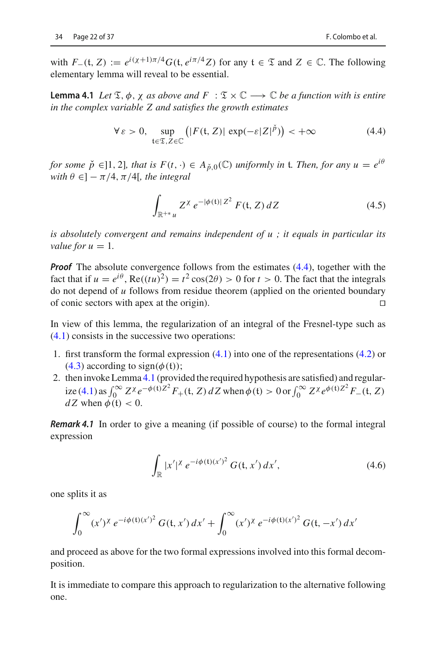<span id="page-23-1"></span>with  $F_-(t, Z) := e^{i(\chi+1)\pi/4} G(t, e^{i\pi/4} Z)$  for any  $t \in \mathcal{I}$  and  $Z \in \mathbb{C}$ . The following elementary lemma will reveal to be essential.

**Lemma 4.1** *Let*  $\mathfrak{T}, \phi, \chi$  *as above and*  $F : \mathfrak{T} \times \mathbb{C} \longrightarrow \mathbb{C}$  *be a function with is entire in the complex variable Z and satisfies the growth estimates*

<span id="page-23-0"></span>
$$
\forall \varepsilon > 0, \sup_{t \in \mathfrak{T}, Z \in \mathbb{C}} \left( |F(t, Z)| \exp(-\varepsilon |Z|^{\tilde{p}}) \right) < +\infty \tag{4.4}
$$

*for some*  $\check{p} \in ]1, 2]$ *, that is*  $F(t, \cdot) \in A_{\check{p},0}(\mathbb{C})$  *uniformly in t. Then, for any*  $u = e^{i\theta}$ *with*  $\theta \in ]-\pi/4, \pi/4[$ *, the integral* 

$$
\int_{\mathbb{R}^{+*}u} Z^{\chi} e^{-|\phi(t)|Z^2} F(t, Z) dZ
$$
\n(4.5)

*is absolutely convergent and remains independent of u ; it equals in particular its value for*  $u = 1$ *.* 

*Proof* The absolute convergence follows from the estimates [\(4.4\)](#page-23-0), together with the fact that if  $u = e^{i\theta}$ ,  $\text{Re}((tu)^2) = t^2 \cos(2\theta) > 0$  for  $t > 0$ . The fact that the integrals do not depend of *u* follows from residue theorem (applied on the oriented boundary of conic sectors with apex at the origin).

In view of this lemma, the regularization of an integral of the Fresnel-type such as [\(4.1\)](#page-22-1) consists in the successive two operations:

- 1. first transform the formal expression [\(4.1\)](#page-22-1) into one of the representations [\(4.2\)](#page-22-2) or [\(4.3\)](#page-22-3) according to sign( $\phi$ (t));
- 2. then invoke Lemma [4.1](#page-23-1) (provided the required hypothesis are satisfied) and regular- $\int_0^\infty Z^\chi e^{-\phi(t)Z^2} F_+(t, Z) dZ$  when  $\phi(t) > 0$  or  $\int_0^\infty Z^\chi e^{\phi(t)Z^2} F_-(t, Z)$  $dZ$  when  $\phi(t) < 0$ .

<span id="page-23-3"></span>*Remark 4.1* In order to give a meaning (if possible of course) to the formal integral expression

$$
\int_{\mathbb{R}} |x'|^{\chi} e^{-i\phi(t)(x')^2} G(t, x') dx', \tag{4.6}
$$

one splits it as

$$
\int_0^\infty (x')^\chi \, e^{-i\phi(\mathfrak{t})(x')^2} \, G(\mathfrak{t},x') \, dx' + \int_0^\infty (x')^\chi \, e^{-i\phi(\mathfrak{t})(x')^2} \, G(\mathfrak{t},-x') \, dx'
$$

and proceed as above for the two formal expressions involved into this formal decomposition.

<span id="page-23-2"></span>It is immediate to compare this approach to regularization to the alternative following one.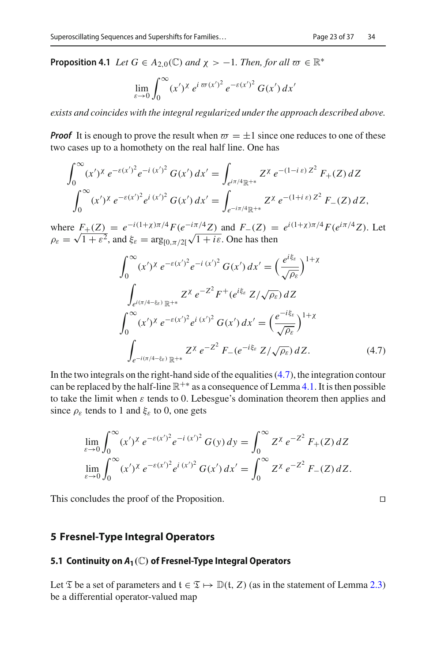**Proposition 4.1** *Let*  $G \in A_{2,0}(\mathbb{C})$  *and*  $\chi > -1$ *. Then, for all*  $\varpi \in \mathbb{R}^*$ 

$$
\lim_{\varepsilon \to 0} \int_0^\infty (x')^\chi e^{i \pi (x')^2} e^{-\varepsilon (x')^2} G(x') dx'
$$

*exists and coincides with the integral regularized under the approach described above.*

**Proof** It is enough to prove the result when  $\varpi = \pm 1$  since one reduces to one of these two cases up to a homothety on the real half line. One has

$$
\int_0^\infty (x')^\chi \, e^{-\varepsilon (x')^2} e^{-i (x')^2} \, G(x') \, dx' = \int_{e^{i\pi/4} \mathbb{R}^{+*}} Z^\chi \, e^{-(1-i\,\varepsilon) \, Z^2} \, F_+(Z) \, dZ
$$
\n
$$
\int_0^\infty (x')^\chi \, e^{-\varepsilon (x')^2} e^{i (x')^2} \, G(x') \, dx' = \int_{e^{-i\pi/4} \mathbb{R}^{+*}} Z^\chi \, e^{-(1+i\,\varepsilon) \, Z^2} \, F_-(Z) \, dZ,
$$

where  $F_{+}(Z) = e^{-i(1+\chi)\pi/4} F(e^{-i\pi/4} Z)$  and  $F_{-}(Z) = e^{i(1+\chi)\pi/4} F(e^{i\pi/4} Z)$ . Let  $\rho_{\varepsilon} = \sqrt{1 + \varepsilon^2}$ , and  $\xi_{\varepsilon} = \arg_{[0, \pi/2]} \sqrt{1 + i \varepsilon}$ . One has then

<span id="page-24-1"></span>
$$
\int_0^{\infty} (x')^{\chi} e^{-\varepsilon (x')^2} e^{-i (x')^2} G(x') dx' = \left(\frac{e^{i\xi_{\varepsilon}}}{\sqrt{\rho_{\varepsilon}}}\right)^{1+\chi}
$$

$$
\int_{e^{i(\pi/4-\xi_{\varepsilon})} \mathbb{R}^{+*}} Z^{\chi} e^{-Z^2} F^+(e^{i\xi_{\varepsilon}} Z/\sqrt{\rho_{\varepsilon}}) dZ
$$

$$
\int_0^{\infty} (x')^{\chi} e^{-\varepsilon (x')^2} e^{i (x')^2} G(x') dx' = \left(\frac{e^{-i\xi_{\varepsilon}}}{\sqrt{\rho_{\varepsilon}}}\right)^{1+\chi}
$$

$$
\int_{e^{-i(\pi/4-\xi_{\varepsilon})} \mathbb{R}^{+*}} Z^{\chi} e^{-Z^2} F_-(e^{-i\xi_{\varepsilon}} Z/\sqrt{\rho_{\varepsilon}}) dZ.
$$
(4.7)

In the two integrals on the right-hand side of the equalities  $(4.7)$ , the integration contour can be replaced by the half-line  $\mathbb{R}^{+*}$  as a consequence of Lemma [4.1.](#page-23-1) It is then possible to take the limit when  $\varepsilon$  tends to 0. Lebesgue's domination theorem then applies and since  $\rho_{\varepsilon}$  tends to 1 and  $\xi_{\varepsilon}$  to 0, one gets

$$
\lim_{\varepsilon \to 0} \int_0^\infty (x')^\chi \, e^{-\varepsilon (x')^2} e^{-i (x')^2} \, G(y) \, dy = \int_0^\infty Z^\chi \, e^{-Z^2} \, F_+(Z) \, dZ
$$
\n
$$
\lim_{\varepsilon \to 0} \int_0^\infty (x')^\chi \, e^{-\varepsilon (x')^2} e^{i (x')^2} \, G(x') \, dx' = \int_0^\infty Z^\chi \, e^{-Z^2} \, F_-(Z) \, dZ.
$$

This concludes the proof of the Proposition.

#### <span id="page-24-0"></span>**5 Fresnel-Type Integral Operators**

#### **5.1 Continuity on** *A***1***(*C*)* **of Fresnel-Type Integral Operators**

Let  $\mathfrak T$  be a set of parameters and  $\mathfrak t \in \mathfrak T \mapsto \mathbb D(\mathfrak t,Z)$  (as in the statement of Lemma [2.3\)](#page-10-1) be a differential operator-valued map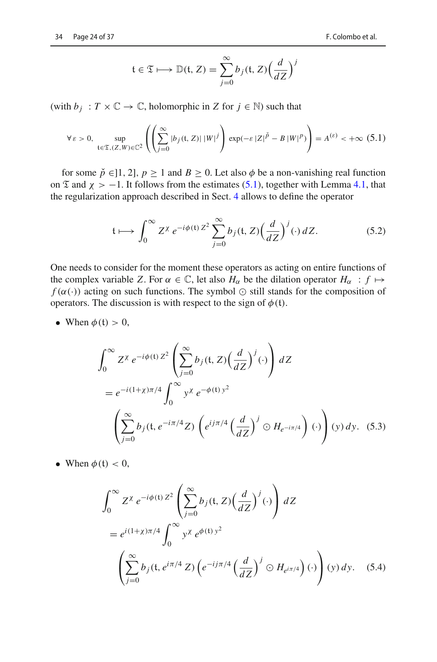$$
\mathfrak{t} \in \mathfrak{T} \longmapsto \mathbb{D}(\mathfrak{t}, Z) = \sum_{j=0}^{\infty} b_j(\mathfrak{t}, Z) \left(\frac{d}{dZ}\right)^j
$$

(with  $b_j : T \times \mathbb{C} \to \mathbb{C}$ , holomorphic in *Z* for  $j \in \mathbb{N}$ ) such that

<span id="page-25-1"></span>
$$
\forall \varepsilon > 0, \sup_{\mathfrak{t} \in \mathfrak{T}, (Z, W) \in \mathbb{C}^2} \left( \left( \sum_{j=0}^{\infty} |b_j(\mathfrak{t}, Z)| \, |W|^j \right) \exp(-\varepsilon |Z|^{\check{p}} - B \, |W|^p) \right) = A^{(\varepsilon)} < +\infty \tag{5.1}
$$

for some  $\check{p} \in ]1, 2]$ ,  $p \ge 1$  and  $B \ge 0$ . Let also  $\phi$  be a non-vanishing real function on  $\mathfrak T$  and  $\chi > -1$ . It follows from the estimates [\(5.1\)](#page-25-1), together with Lemma [4.1,](#page-23-1) that the regularization approach described in Sect. [4](#page-22-0) allows to define the operator

$$
\mathfrak{t} \longmapsto \int_0^\infty Z^\chi \, e^{-i\phi(\mathfrak{t}) \, Z^2} \sum_{j=0}^\infty b_j(\mathfrak{t}, Z) \Big(\frac{d}{dZ}\Big)^j(\cdot) \, dZ. \tag{5.2}
$$

One needs to consider for the moment these operators as acting on entire functions of the complex variable *Z*. For  $\alpha \in \mathbb{C}$ , let also  $H_{\alpha}$  be the dilation operator  $H_{\alpha} : f \mapsto$  $f(\alpha(\cdot))$  acting on such functions. The symbol  $\odot$  still stands for the composition of operators. The discussion is with respect to the sign of  $\phi(t)$ .

• When  $\phi(t) > 0$ ,

<span id="page-25-2"></span>
$$
\int_0^\infty Z^\chi \, e^{-i\phi(\mathfrak{t}) \, Z^2} \left( \sum_{j=0}^\infty b_j(\mathfrak{t}, Z) \left( \frac{d}{dZ} \right)^j (\cdot) \right) \, dZ
$$
\n
$$
= e^{-i(1+\chi)\pi/4} \int_0^\infty y^\chi \, e^{-\phi(\mathfrak{t}) \, y^2}
$$
\n
$$
\left( \sum_{j=0}^\infty b_j(\mathfrak{t}, e^{-i\pi/4} Z) \left( e^{ij\pi/4} \left( \frac{d}{dZ} \right)^j \odot H_{e^{-i\pi/4}} \right) (\cdot) \right) (y) \, dy. \tag{5.3}
$$

• When  $\phi(t) < 0$ ,

<span id="page-25-0"></span>
$$
\int_0^\infty Z^\chi \, e^{-i\phi(\mathfrak{t}) \, Z^2} \left( \sum_{j=0}^\infty b_j(\mathfrak{t}, Z) \left( \frac{d}{dZ} \right)^j (\cdot) \right) \, dZ
$$
\n
$$
= e^{i(1+\chi)\pi/4} \int_0^\infty y^\chi \, e^{\phi(\mathfrak{t}) \, y^2}
$$
\n
$$
\left( \sum_{j=0}^\infty b_j(\mathfrak{t}, e^{i\pi/4} \, Z) \left( e^{-ij\pi/4} \left( \frac{d}{dZ} \right)^j \odot H_{e^{i\pi/4}} \right) (\cdot) \right) (y) \, dy. \quad (5.4)
$$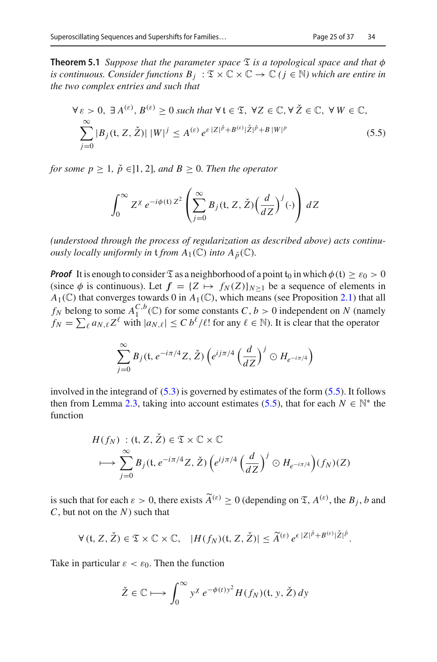**Theorem 5.1** *Suppose that the parameter space*  $\mathfrak{T}$  *is a topological space and that*  $\phi$ *is continuous. Consider functions*  $B_i : \mathfrak{T} \times \mathbb{C} \times \mathbb{C} \to \mathbb{C}$  *( j*  $\in \mathbb{N}$ *) which are entire in the two complex entries and such that*

<span id="page-26-0"></span>
$$
\forall \varepsilon > 0, \exists A^{(\varepsilon)}, B^{(\varepsilon)} \ge 0 \text{ such that } \forall \mathfrak{t} \in \mathfrak{T}, \forall Z \in \mathbb{C}, \forall \check{Z} \in \mathbb{C}, \forall W \in \mathbb{C},
$$
  

$$
\sum_{j=0}^{\infty} |B_j(\mathfrak{t}, Z, \check{Z})| \, |W|^j \le A^{(\varepsilon)} e^{\varepsilon |Z|^{\check{p}} + B^{(\varepsilon)} |\check{Z}|^{\check{p}} + B |W|^p}
$$
(5.5)

*for some*  $p \geq 1$ *,*  $\check{p} \in ]1, 2]$ *, and*  $B \geq 0$ *. Then the operator* 

$$
\int_0^\infty Z^\chi \, e^{-i\phi(\mathfrak{t}) \, Z^2} \left( \sum_{j=0}^\infty B_j(\mathfrak{t}, Z, \check{Z}) \left( \frac{d}{dZ} \right)^j (\cdot) \right) \, dZ
$$

*(understood through the process of regularization as described above) acts continuously locally uniformly in*  $\mathfrak{t}$  *from*  $A_1(\mathbb{C})$  *into*  $A_{\rho}(\mathbb{C})$ *.* 

*Proof* It is enough to consider  $\mathfrak{T}$  as a neighborhood of a point  $t_0$  in which  $\phi(t) \geq \varepsilon_0 > 0$ (since  $\phi$  is continuous). Let  $f = \{Z \mapsto f_N(Z)\}_{N>1}$  be a sequence of elements in  $A_1(\mathbb{C})$  that converges towards 0 in  $A_1(\mathbb{C})$ , which means (see Proposition [2.1\)](#page-8-1) that all *f<sub>N</sub>* belong to some  $A_1^{C,b}(\mathbb{C})$  for some constants  $C, b > 0$  independent on  $N$  (namely  $f_N = \sum_{\ell} a_{N,\ell} Z^{\ell}$  with  $|a_{N,\ell}| \le C b^{\ell} / \ell!$  for any  $\ell \in \mathbb{N}$ ). It is clear that the operator

$$
\sum_{j=0}^{\infty} B_j(\mathfrak{t}, e^{-i\pi/4} Z, \check{Z}) \left( e^{i j\pi/4} \left( \frac{d}{dZ} \right)^j \odot H_{e^{-i\pi/4}} \right)
$$

involved in the integrand of  $(5.3)$  is governed by estimates of the form  $(5.5)$ . It follows then from Lemma [2.3,](#page-10-1) taking into account estimates [\(5.5\)](#page-26-0), that for each  $N \in \mathbb{N}^*$  the function

$$
H(f_N) : (\mathfrak{t}, Z, \check{Z}) \in \mathfrak{T} \times \mathbb{C} \times \mathbb{C}
$$
  

$$
\longmapsto \sum_{j=0}^{\infty} B_j(\mathfrak{t}, e^{-i\pi/4} Z, \check{Z}) \left( e^{ij\pi/4} \left( \frac{d}{dZ} \right)^j \odot H_{e^{-i\pi/4}} \right) (f_N)(Z)
$$

is such that for each  $\varepsilon > 0$ , there exists  $\widetilde{A}^{(\varepsilon)} \ge 0$  (depending on  $\mathfrak{T}, A^{(\varepsilon)}$ , the  $B_j$ , *b* and *C*, but not on the *N*) such that

$$
\forall (t, Z, \check{Z}) \in \mathfrak{T} \times \mathbb{C} \times \mathbb{C}, \quad |H(f_N)(t, Z, \check{Z})| \leq \widetilde{A}^{(\varepsilon)} e^{\varepsilon |Z|^{\check{p}} + B^{(\varepsilon)} |\check{Z}|^{\check{p}}}.
$$

Take in particular  $\varepsilon < \varepsilon_0$ . Then the function

$$
\check{Z} \in \mathbb{C} \longmapsto \int_0^\infty y^\chi \, e^{-\phi(t)y^2} H(f_N)(\mathfrak{t}, y, \check{Z}) \, dy
$$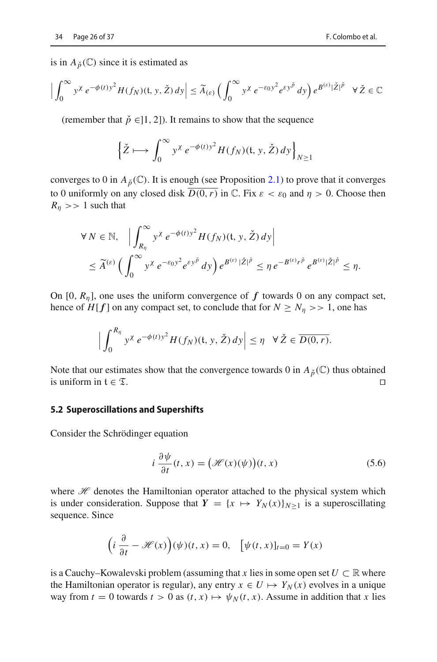is in  $A_{\v{D}}(\mathbb{C})$  since it is estimated as

$$
\Big|\int_0^\infty y^\chi e^{-\phi(t)y^2} H(f_N)(\mathfrak{t}, y, \check{Z}) dy\Big| \leq \widetilde{A}_{(\varepsilon)} \left(\int_0^\infty y^\chi e^{-\varepsilon_0 y^2} e^{\varepsilon y^{\check{p}}} dy\right) e^{B^{(\varepsilon)}|\check{Z}|^{\check{p}}} \quad \forall \, \check{Z} \in \mathbb{C}
$$

(remember that  $\check{p} \in ]1, 2]$ ). It remains to show that the sequence

$$
\left\{\check{Z}\longmapsto\int_0^\infty y^\chi\,e^{-\phi(t)y^2}H(f_N)(\mathfrak{t},y,\check{Z})\,dy\right\}_{N\geq 1}
$$

converges to 0 in  $A_{\rho}(\mathbb{C})$ . It is enough (see Proposition [2.1\)](#page-8-1) to prove that it converges to 0 uniformly on any closed disk  $\overline{D(0,r)}$  in  $\mathbb C$ . Fix  $\varepsilon < \varepsilon_0$  and  $\eta > 0$ . Choose then  $R_n$  >> 1 such that

$$
\forall N \in \mathbb{N}, \quad \left| \int_{R_{\eta}}^{\infty} y^{\chi} e^{-\phi(t)y^2} H(f_N)(\mathfrak{t}, y, \check{Z}) dy \right|
$$
  
\$\leq \widetilde{A}^{(\varepsilon)} \left( \int\_0^{\infty} y^{\chi} e^{-\varepsilon\_0 y^2} e^{\varepsilon y^{\check{p}}} dy \right) e^{B^{(\varepsilon)} |\check{Z}|^{\check{p}}} \leq \eta e^{-B^{(\varepsilon)} r^{\check{p}}} e^{B^{(\varepsilon)} |\check{Z}|^{\check{p}}} \leq \eta\$.

On [0,  $R_n$ ], one uses the uniform convergence of  $f$  towards 0 on any compact set, hence of  $H[f]$  on any compact set, to conclude that for  $N \ge N_n >> 1$ , one has

$$
\Big|\int_0^{R_\eta} y^\chi \, e^{-\phi(t)y^2} H(f_N)(\mathfrak{t},y,\check{Z}) \, dy\Big| \leq \eta \quad \forall \, \check{Z} \in \overline{D(0,r)}.
$$

Note that our estimates show that the convergence towards 0 in  $A_{\check{p}}(\mathbb{C})$  thus obtained is uniform in  $f \in \mathcal{T}$ is uniform in  $f \in \mathcal{I}$ .

#### **5.2 Superoscillations and Supershifts**

Consider the Schrödinger equation

<span id="page-27-0"></span>
$$
i\frac{\partial \psi}{\partial t}(t,x) = (\mathcal{H}(x)(\psi))(t,x)
$$
\n(5.6)

where  $H$  denotes the Hamiltonian operator attached to the physical system which is under consideration. Suppose that  $Y = \{x \mapsto Y_N(x)\}_{N>1}$  is a superoscillating sequence. Since

$$
\left(i\frac{\partial}{\partial t} - \mathcal{H}(x)\right)(\psi)(t, x) = 0, \quad [\psi(t, x)]_{t=0} = Y(x)
$$

is a Cauchy–Kowalevski problem (assuming that x lies in some open set  $U \subset \mathbb{R}$  where the Hamiltonian operator is regular), any entry  $x \in U \mapsto Y_N(x)$  evolves in a unique way from  $t = 0$  towards  $t > 0$  as  $(t, x) \mapsto \psi_N(t, x)$ . Assume in addition that *x* lies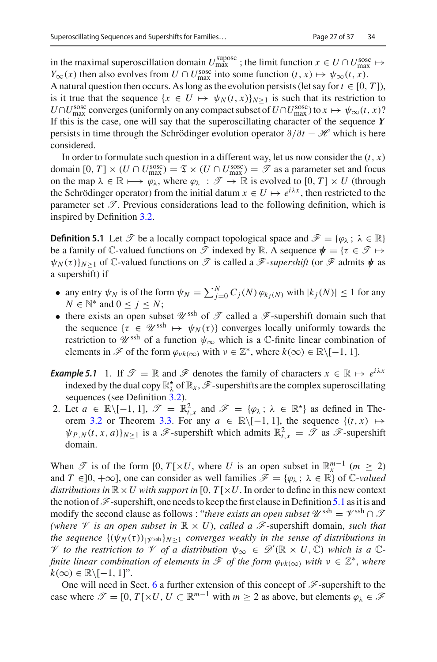in the maximal superoscillation domain  $U_{\text{max}}^{\text{suposc}}$ ; the limit function  $x \in U \cap U_{\text{max}}^{\text{ssoc}} \mapsto$ *Y*<sub>∞</sub>(*x*) then also evolves from *U* ∩ *U*<sup>sosc</sup> into some function (*t*, *x*)  $\mapsto \psi_{\infty}(t, x)$ .

A natural question then occurs. As long as the evolution persists (let say for  $t \in [0, T]$ ), is it true that the sequence  $\{x \in U \mapsto \psi_N(t, x)\}_{N \geq 1}$  is such that its restriction to  $U \cap U_{\text{max}}^{\text{sosc}}$  converges (uniformly on any compact subset of  $U \cap U_{\text{max}}^{\text{sosc}}$ ) to  $x \mapsto \psi_{\infty}(t, x)$ ? If this is the case, one will say that the superoscillating character of the sequence *Y* persists in time through the Schrödinger evolution operator ∂/∂*t* − *H* which is here considered.

In order to formulate such question in a different way, let us now consider the  $(t, x)$ domain  $[0, T] \times (U \cap U_{\text{max}}^{\text{sosc}}) = \mathfrak{T} \times (U \cap U_{\text{max}}^{\text{sosc}}) = \mathcal{T}$  as a parameter set and focus on the map  $\lambda \in \mathbb{R} \mapsto \varphi_{\lambda}$ , where  $\varphi_{\lambda} : \mathscr{T} \to \mathbb{R}$  is evolved to  $[0, T] \times U$  (through the Schrödinger operator) from the initial datum  $x \in U \mapsto e^{i\lambda x}$ , then restricted to the parameter set  $\mathscr T$ . Previous considerations lead to the following definition, which is inspired by Definition [3.2.](#page-14-2)

<span id="page-28-0"></span>**Definition 5.1** Let  $\mathcal{T}$  be a locally compact topological space and  $\mathcal{F} = {\varphi_{\lambda} : \lambda \in \mathbb{R}}$ be a family of  $\mathbb{C}$ -valued functions on  $\mathscr{T}$  indexed by  $\mathbb{R}$ . A sequence  $\psi = \{\tau \in \mathscr{T} \mapsto \tau\}$  $\psi_N(\tau)$ <sub>*N*>1</sub> of C-valued functions on  $\mathscr T$  is called a  $\mathscr F$ -*supershift* (or  $\mathscr F$  admits  $\psi$  as a supershift) if

- any entry  $\psi_N$  is of the form  $\psi_N = \sum_{j=0}^N C_j(N) \varphi_{k_j(N)}$  with  $|k_j(N)| \le 1$  for any *N* ∈  $\mathbb{N}^*$  and  $0 \le j \le N$ ;
- there exists an open subset  $\mathscr{U}^{\mathrm{sh}}$  of  $\mathscr{T}$  called a  $\mathscr{F}$ -supershift domain such that the sequence  $\{\tau \in \mathcal{U}^{\text{ssh}} \mapsto \psi_N(\tau)\}$  converges locally uniformly towards the restriction to  $\mathscr{U}^{\text{ssh}}$  of a function  $\psi_{\infty}$  which is a  $\mathbb{C}\text{-finite linear combination of}$ elements in  $\mathscr F$  of the form  $\varphi_{\nu k(\infty)}$  with  $\nu \in \mathbb Z^*$ , where  $k(\infty) \in \mathbb R \setminus [-1, 1]$ .

*Example 5.1* 1. If  $\mathcal{T} = \mathbb{R}$  and  $\mathcal{F}$  denotes the family of characters  $x \in \mathbb{R} \mapsto e^{i\lambda x}$ indexed by the dual copy  $\mathbb{R}^{\star}_{\lambda}$  of  $\mathbb{R}_{x}$ ,  $\mathscr{F}$ -supershifts are the complex superoscillating sequences (see Definition [3.2\)](#page-14-2).

2. Let  $a \in \mathbb{R} \setminus [-1, 1], \mathcal{T} = \mathbb{R}^2_{t,x}$  and  $\mathcal{F} = \{\varphi_\lambda : \lambda \in \mathbb{R}^{\star}\}\$  as defined in The-orem [3.2](#page-18-1) or Theorem [3.3.](#page-19-0) For any  $a \in \mathbb{R} \setminus [-1, 1]$ , the sequence  $\{(t, x) \mapsto$  $\psi_{P,N}(t, x, a)$ <sub>*N*</sub><sub>2</sub> is a *F*-supershift which admits  $\mathbb{R}^2_{t, x} = \mathcal{T}$  as *F*-supershift domain.

When  $\mathscr{T}$  is of the form [0, *T*[×*U*, where *U* is an open subset in  $\mathbb{R}^{m-1}$  ( $m \geq 2$ ) and  $T \in ]0, +\infty]$ , one can consider as well families  $\mathscr{F} = {\varphi_{\lambda}}$ ;  $\lambda \in \mathbb{R}$  of C-*valued distributions in*  $\mathbb{R} \times U$  *with support in* [0,  $T[\times U]$ . In order to define in this new context the notion of  $\mathscr F$ -supershift, one needs to keep the first clause in Definition [5.1](#page-28-0) as it is and modify the second clause as follows : "*there exists an open subset*  $\mathcal{U}^{\text{sh}} = \mathcal{V}^{\text{sh}} \cap \mathcal{T}$ *(where*  $\mathscr V$  *is an open subset in*  $\mathbb R \times U$ ), *called a*  $\mathscr F$ -supershift domain, *such that the sequence*  $\{(\psi_N(\tau))_{|N\geq 1}$  *converges weakly in the sense of distributions in V to the restriction to V of a distribution*  $\psi_{\infty} \in \mathcal{D}'(\mathbb{R} \times U, \mathbb{C})$  *which is a*  $\mathbb{C}$ *finite linear combination of elements in*  $\mathscr F$  *of the form*  $\varphi_{\nu k(\infty)}$  *with*  $\nu \in \mathbb Z^*$ *, where*  $k(\infty) \in \mathbb{R} \setminus [-1, 1]$ ".

One will need in Sect. [6](#page-33-0) a further extension of this concept of *F*-supershift to the case where  $\mathcal{T} = [0, T[ \times U, U \subset \mathbb{R}^{m-1} \text{ with } m \geq 2 \text{ as above, but elements } \varphi_{\lambda} \in \mathcal{F}$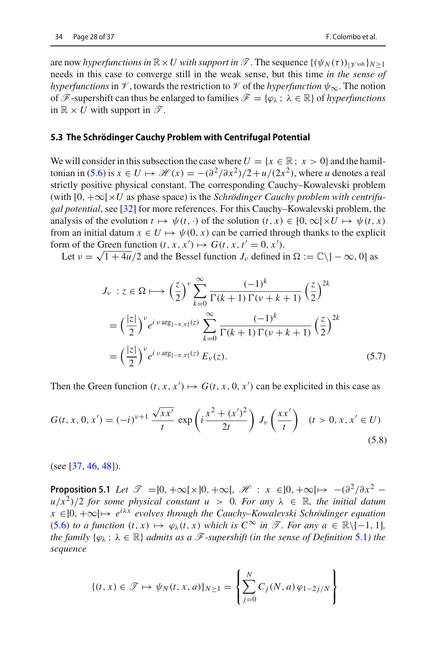are now *hyperfunctions in*  $\mathbb{R} \times U$  with support in  $\mathscr{T}$ . The sequence  $\{(\psi_N(\tau))_{|\mathscr{V}\text{ssh}}\}_{N>1}$ needs in this case to converge still in the weak sense, but this time *in the sense of hyperfunctions* in  $\mathcal V$ , towards the restriction to  $\mathcal V$  of the *hyperfunction*  $\psi_{\infty}$ . The notion of  $\mathscr{F}$ -supershift can thus be enlarged to families  $\mathscr{F} = {\varphi_{\lambda} : \lambda \in \mathbb{R}}$  of *hyperfunctions* in  $\mathbb{R} \times U$  with support in  $\mathscr{T}$ .

#### **5.3 The Schrödinger Cauchy Problem with Centrifugal Potential**

We will consider in this subsection the case where  $U = \{x \in \mathbb{R} : x > 0\}$  and the hamil-tonian in [\(5.6\)](#page-27-0) is  $x \in U \mapsto \mathcal{H}(x) = -\frac{\frac{\partial^2}{\partial x^2}}{2 + u/(2x^2)}$ , where *u* denotes a real strictly positive physical constant. The corresponding Cauchy–Kowalevski problem (with [0, +∞[×*U* as phase space) is the *Schrödinger Cauchy problem with centrifugal potential*, see [\[32\]](#page-38-11) for more references. For this Cauchy–Kowalevski problem, the analysis of the evolution  $t \mapsto \psi(t, \cdot)$  of the solution  $(t, x) \in [0, \infty[ \times U \mapsto \psi(t, x)]$ from an initial datum  $x \in U \mapsto \psi(0, x)$  can be carried through thanks to the explicit form of the Green function  $(t, x, x') \mapsto G(t, x, t' = 0, x')$ .

Let  $v = \sqrt{1 + 4u}/2$  and the Bessel function  $J_\nu$  defined in  $\Omega := \mathbb{C} \setminus ]-\infty, 0]$  as

$$
J_{\nu}: z \in \Omega \longmapsto \left(\frac{z}{2}\right)^{\nu} \sum_{k=0}^{\infty} \frac{(-1)^k}{\Gamma(k+1)\Gamma(\nu+k+1)} \left(\frac{z}{2}\right)^{2k}
$$

$$
= \left(\frac{|z|}{2}\right)^{\nu} e^{i \nu \arg_{]-\pi,\pi[}(z)} \sum_{k=0}^{\infty} \frac{(-1)^k}{\Gamma(k+1)\Gamma(\nu+k+1)} \left(\frac{z}{2}\right)^{2k}
$$

$$
= \left(\frac{|z|}{2}\right)^{\nu} e^{i \nu \arg_{]-\pi,\pi[}(z)} E_{\nu}(z).
$$
(5.7)

Then the Green function  $(t, x, x') \mapsto G(t, x, 0, x')$  can be explicited in this case as

<span id="page-29-0"></span>
$$
G(t, x, 0, x') = (-i)^{v+1} \frac{\sqrt{xx'}}{t} \exp\left(i \frac{x^2 + (x')^2}{2t}\right) J_v\left(\frac{xx'}{t}\right) \quad (t > 0, x, x' \in U) \tag{5.8}
$$

<span id="page-29-1"></span>(see [\[37,](#page-38-4) [46](#page-38-12), [48](#page-38-13)]).

**Proposition 5.1** *Let*  $\mathcal{T} = ]0, +\infty[\times]0, +\infty[$ ,  $\mathcal{H} : x \in ]0, +\infty[ \mapsto -(\partial^2/\partial x^2$  $u/x^2$ )/2 *for some physical constant*  $u > 0$ *. For any*  $\lambda \in \mathbb{R}$ *, the initial datum <sup>x</sup>* ∈]0, +∞[→ *<sup>e</sup>i*λ*<sup>x</sup> evolves through the Cauchy–Kowalevski Schrödinger equation* [\(5.6\)](#page-27-0) *to a function*  $(t, x)$   $\mapsto \varphi_\lambda(t, x)$  *which is*  $C^\infty$  *in*  $\mathscr{T}$ *. For any*  $a \in \mathbb{R} \setminus [-1, 1]$ *, the family*  $\{\varphi_{\lambda} : \lambda \in \mathbb{R}\}\$  *admits as a*  $\mathcal{F}$ *-supershift (in the sense of Definition* [5.1](#page-28-0)*)* the *sequence*

$$
\{(t, x) \in \mathcal{T} \mapsto \psi_N(t, x, a)\}_{N \ge 1} = \left\{\sum_{j=0}^N C_j(N, a) \, \varphi_{1-2j/N} \right\}
$$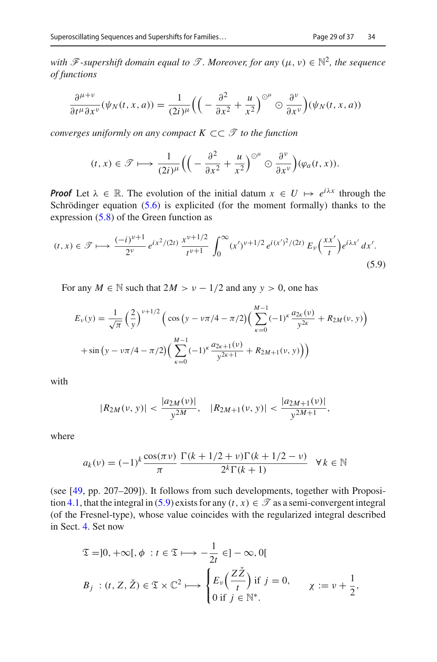*with*  $\mathscr F$ -supershift domain equal to  $\mathscr T$ . Moreover, for any  $(\mu, \nu) \in \mathbb N^2$ , the sequence *of functions*

$$
\frac{\partial^{\mu+\nu}}{\partial t^{\mu}\partial x^{\nu}}(\psi_N(t,x,a))=\frac{1}{(2i)^{\mu}}\Big(\Big(-\frac{\partial^2}{\partial x^2}+\frac{u}{x^2}\Big)^{\odot^{\mu}}\odot\frac{\partial^{\nu}}{\partial x^{\nu}}\Big)(\psi_N(t,x,a))
$$

*converges uniformly on any compact K* ⊂⊂ *T to the function*

$$
(t,x)\in\mathscr{T}\longmapsto\frac{1}{(2i)^{\mu}}\Big(\Big(-\frac{\partial^2}{\partial x^2}+\frac{u}{x^2}\Big)^{\odot^{\mu}}\odot\frac{\partial^{\nu}}{\partial x^{\nu}}\Big)(\varphi_a(t,x)).
$$

*Proof* Let  $\lambda \in \mathbb{R}$ . The evolution of the initial datum  $x \in U \mapsto e^{i\lambda x}$  through the Schrödinger equation  $(5.6)$  is explicited (for the moment formally) thanks to the expression [\(5.8\)](#page-29-0) of the Green function as

<span id="page-30-0"></span>
$$
(t,x) \in \mathcal{T} \longmapsto \frac{(-i)^{\nu+1}}{2^{\nu}} e^{ix^2/(2t)} \frac{x^{\nu+1/2}}{t^{\nu+1}} \int_0^\infty (x')^{\nu+1/2} e^{i(x')^2/(2t)} E_\nu\left(\frac{xx'}{t}\right) e^{i\lambda x'} dx'.
$$
\n(5.9)

For any  $M \in \mathbb{N}$  such that  $2M > v - 1/2$  and any  $y > 0$ , one has

$$
E_{\nu}(y) = \frac{1}{\sqrt{\pi}} \left(\frac{2}{y}\right)^{\nu+1/2} \left(\cos\left(y - \nu\pi/4 - \pi/2\right) \left(\sum_{\kappa=0}^{M-1} (-1)^{\kappa} \frac{a_{2\kappa}(\nu)}{y^{2\kappa}} + R_{2M}(\nu, y)\right) + \sin\left(y - \nu\pi/4 - \pi/2\right) \left(\sum_{\kappa=0}^{M-1} (-1)^{\kappa} \frac{a_{2\kappa+1}(\nu)}{y^{2\kappa+1}} + R_{2M+1}(\nu, y)\right)\right)
$$

with

$$
|R_{2M}(v, y)| < \frac{|a_{2M}(v)|}{y^{2M}}, \quad |R_{2M+1}(v, y)| < \frac{|a_{2M+1}(v)|}{y^{2M+1}},
$$

where

$$
a_k(v) = (-1)^k \frac{\cos(\pi v)}{\pi} \frac{\Gamma(k + 1/2 + v)\Gamma(k + 1/2 - v)}{2^k \Gamma(k + 1)} \quad \forall k \in \mathbb{N}
$$

(see [\[49](#page-38-14), pp. 207–209]). It follows from such developments, together with Proposi-tion [4.1,](#page-23-2) that the integral in [\(5.9\)](#page-30-0) exists for any  $(t, x) \in \mathcal{T}$  as a semi-convergent integral (of the Fresnel-type), whose value coincides with the regularized integral described in Sect. [4.](#page-22-0) Set now

$$
\mathfrak{T} = ]0, +\infty[, \phi : t \in \mathfrak{T} \longmapsto -\frac{1}{2t} \in ]-\infty, 0[
$$
  

$$
B_j : (t, Z, \check{Z}) \in \mathfrak{T} \times \mathbb{C}^2 \longmapsto \begin{cases} E_\nu \left( \frac{Z\check{Z}}{t} \right) \text{if } j = 0, \\ 0 \text{ if } j \in \mathbb{N}^* . \end{cases} \chi := \nu + \frac{1}{2},
$$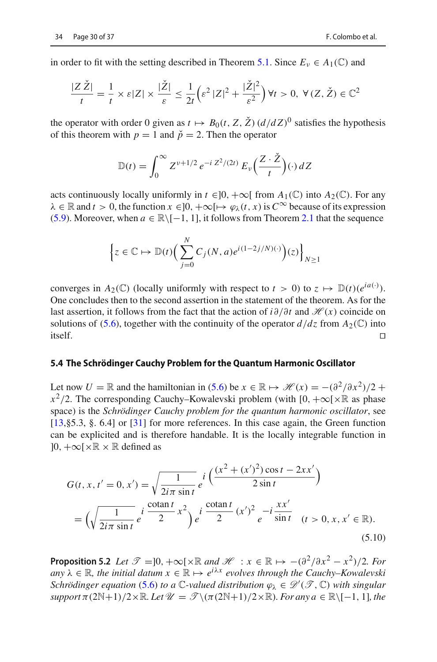$$
\frac{|Z\,\check{Z}|}{t} = \frac{1}{t} \times \varepsilon |Z| \times \frac{|\check{Z}|}{\varepsilon} \le \frac{1}{2t} \left( \varepsilon^2 \, |Z|^2 + \frac{|\check{Z}|^2}{\varepsilon^2} \right) \forall t > 0, \ \forall (Z, \check{Z}) \in \mathbb{C}^2
$$

the operator with order 0 given as  $t \mapsto B_0(t, Z, \check{Z}) (d/dZ)^0$  satisfies the hypothesis of this theorem with  $p = 1$  and  $\check{p} = 2$ . Then the operator

$$
\mathbb{D}(t) = \int_0^\infty Z^{\nu+1/2} e^{-i Z^2/(2t)} E_\nu\left(\frac{Z \cdot \check{Z}}{t}\right) (\cdot) dZ
$$

acts continuously locally uniformly in  $t \in ]0, +\infty[$  from  $A_1(\mathbb{C})$  into  $A_2(\mathbb{C})$ . For any  $\lambda \in \mathbb{R}$  and  $t > 0$ , the function  $x \in ]0, +\infty[ \mapsto \varphi_\lambda(t, x)$  is  $C^\infty$  because of its expression [\(5.9\)](#page-30-0). Moreover, when  $a \in \mathbb{R} \setminus [-1, 1]$ , it follows from Theorem [2.1](#page-13-1) that the sequence

$$
\left\{z \in \mathbb{C} \mapsto \mathbb{D}(t)\Big(\sum_{j=0}^N C_j(N,a)e^{i(1-2j/N)(\cdot)}\Big)(z)\right\}_{N\geq 1}
$$

converges in  $A_2(\mathbb{C})$  (locally uniformly with respect to  $t > 0$ ) to  $z \mapsto \mathbb{D}(t)(e^{ia(\cdot)})$ . One concludes then to the second assertion in the statement of the theorem. As for the last assertion, it follows from the fact that the action of *i*∂/∂*t* and *H* (*x*) coincide on solutions of [\(5.6\)](#page-27-0), together with the continuity of the operator  $d/dz$  from  $A_2(\mathbb{C})$  into itself  $\Box$ itself.

#### <span id="page-31-0"></span>**5.4 The Schrödinger Cauchy Problem for the Quantum Harmonic Oscillator**

Let now  $U = \mathbb{R}$  and the hamiltonian in [\(5.6\)](#page-27-0) be  $x \in \mathbb{R} \mapsto \mathcal{H}(x) = -(\frac{\partial^2}{\partial x^2})/2 +$  $x^2/2$ . The corresponding Cauchy–Kowalevski problem (with [0,  $+\infty$ [×R as phase space) is the *Schrödinger Cauchy problem for the quantum harmonic oscillator*, see [\[13](#page-37-13),§5.3, §. 6.4] or [\[31\]](#page-38-7) for more references. In this case again, the Green function can be explicited and is therefore handable. It is the locally integrable function in  $]0, +\infty[\times \mathbb{R} \times \mathbb{R}$  defined as

$$
G(t, x, t' = 0, x') = \sqrt{\frac{1}{2i\pi \sin t}} e^{i \left(\frac{(x^{2} + (x')^{2})\cos t - 2xx'}{2\sin t}\right)}
$$
  
=  $\left(\sqrt{\frac{1}{2i\pi \sin t}} e^{i \frac{\cot \pi t}{2}} x^{2}\right) e^{i \frac{\cot \pi t}{2}} (x')^{2} e^{-i \frac{xx'}{\sin t}} (t > 0, x, x' \in \mathbb{R}).$  (5.10)

<span id="page-31-1"></span>**Proposition 5.2** *Let*  $\mathcal{T} = ]0, +\infty[\times \mathbb{R} \text{ and } \mathcal{H} : x \in \mathbb{R} \mapsto -(\partial^2/\partial x^2 - x^2)/2$ *. For any*  $\lambda \in \mathbb{R}$ *, the initial datum*  $x \in \mathbb{R} \mapsto e^{i\lambda x}$  *evolves through the Cauchy–Kowalevski Schrödinger equation* [\(5.6\)](#page-27-0) *to a*  $\mathbb{C}$ -valued distribution  $\varphi_{\lambda} \in \mathscr{D}'(\mathscr{T}, \mathbb{C})$  with singular  $support \pi(2N+1)/2 \times \mathbb{R}$ *. Let*  $\mathcal{U} = \mathcal{T} \setminus (\pi(2N+1)/2 \times \mathbb{R})$ *. For any a* ∈  $\mathbb{R} \setminus [-1, 1]$ *, the*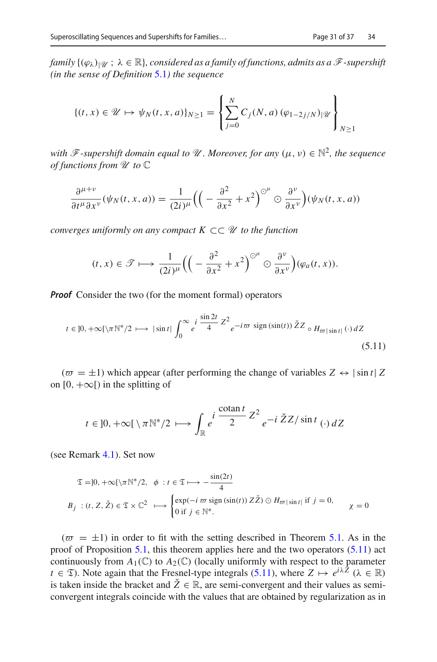*family*  $\{(\varphi_\lambda)_{|\mathcal{U}} : \lambda \in \mathbb{R}\}$ , considered as a family of functions, admits as a  $\mathcal{F}$ -supershift *(in the sense of Definition* [5.1](#page-28-0)*) the sequence*

$$
\{(t,x)\in\mathcal{U}\mapsto\psi_N(t,x,a)\}_{N\geq 1}=\left\{\sum_{j=0}^N C_j(N,a)\,(\varphi_{1-2j/N})_{|\mathcal{U}}\right\}_{N\geq 1}
$$

*with*  $\mathscr{F}$ -supershift domain equal to  $\mathscr{U}$ . Moreover, for any  $(\mu, \nu) \in \mathbb{N}^2$ , the sequence *of functions from U to* C

$$
\frac{\partial^{\mu+\nu}}{\partial t^{\mu}\partial x^{\nu}}(\psi_N(t,x,a)) = \frac{1}{(2i)^{\mu}}\Big(\Big(-\frac{\partial^2}{\partial x^2}+x^2\Big)^{\odot^{\mu}}\odot\frac{\partial^{\nu}}{\partial x^{\nu}}\Big)(\psi_N(t,x,a))
$$

*converges uniformly on any compact K* ⊂⊂ *U to the function*

$$
(t,x)\in\mathscr{T}\longmapsto\frac{1}{(2i)^{\mu}}\Big(\Big(-\frac{\partial^2}{\partial x^2}+x^2\Big)^{\odot^{\mu}}\odot\frac{\partial^{\nu}}{\partial x^{\nu}}\Big)(\varphi_a(t,x)).
$$

*Proof* Consider the two (for the moment formal) operators

<span id="page-32-0"></span>
$$
t \in ]0, +\infty[\setminus \pi \mathbb{N}^*/2 \longrightarrow |\sin t| \int_0^\infty e^{i \frac{\sin 2t}{4}} Z^2 e^{-i \varpi \sin (\sin(t))} \check{Z} Z \circ H_{\varpi|\sin t|}(\cdot) dZ
$$
\n(5.11)

 $(\bar{\sigma} = \pm 1)$  which appear (after performing the change of variables  $Z \leftrightarrow |\sin t| Z$ on  $[0, +\infty)$  in the splitting of

$$
t \in ]0, +\infty[ \setminus \pi \mathbb{N}^*/2 \longmapsto \int_{\mathbb{R}} e^{i \frac{\cot \pi t}{2} Z^2} e^{-i \check{Z} Z / \sin t} (\cdot) dZ
$$

(see Remark [4.1\)](#page-23-3). Set now

$$
\mathfrak{T} = ]0, +\infty[\setminus \pi \mathbb{N}^*/2, \quad \phi : t \in \mathfrak{T} \longmapsto -\frac{\sin(2t)}{4}
$$
  
\n
$$
B_j : (t, Z, \check{Z}) \in \mathfrak{T} \times \mathbb{C}^2 \longrightarrow \begin{cases} \exp(-i\,\varpi \, \text{sign}(\sin(t)) \, Z\check{Z}) \odot H_{\varpi|\sin t|} & \text{if } j = 0, \\ 0 & \text{if } j \in \mathbb{N}^*. \end{cases} \qquad \chi = 0
$$

 $(\varpi = \pm 1)$  in order to fit with the setting described in Theorem [5.1.](#page-25-0) As in the proof of Proposition [5.1,](#page-29-1) this theorem applies here and the two operators [\(5.11\)](#page-32-0) act continuously from  $A_1(\mathbb{C})$  to  $A_2(\mathbb{C})$  (locally uniformly with respect to the parameter *t* ∈  $\mathfrak{T}$ ). Note again that the Fresnel-type integrals [\(5.11\)](#page-32-0), where  $Z \mapsto e^{i\lambda \hat{Z}}$  ( $\lambda \in \mathbb{R}$ ) is taken inside the bracket and  $\tilde{Z} \in \mathbb{R}$ , are semi-convergent and their values as semiconvergent integrals coincide with the values that are obtained by regularization as in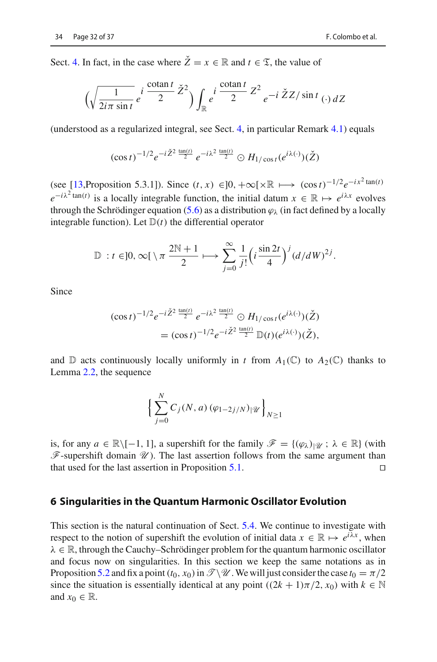Sect. [4.](#page-22-0) In fact, in the case where  $\check{Z} = x \in \mathbb{R}$  and  $t \in \mathcal{I}$ , the value of

$$
\left(\sqrt{\frac{1}{2i\pi \sin t}} e^{i \frac{\cot \pi t}{2}} \check{Z}^{2}\right) \int_{\mathbb{R}} e^{i \frac{\cot \pi t}{2}} Z^{2} e^{-i \check{Z} Z / \sin t} \left(\cdot\right) dZ
$$

(understood as a regularized integral, see Sect. [4,](#page-22-0) in particular Remark [4.1\)](#page-23-3) equals

$$
(\cos t)^{-1/2} e^{-i \check{Z}^2 \frac{\tan(t)}{2}} e^{-i \lambda^2 \frac{\tan(t)}{2}} \odot H_{1/\cos t} (e^{i \lambda(\cdot)}) (\check{Z})
$$

(see [\[13,](#page-37-13)Proposition 5.3.1]). Since  $(t, x) \in ]0, +\infty[\times \mathbb{R} \mapsto (\cos t)^{-1/2} e^{-ix^2 \tan(t)}$  $e^{-i\lambda^2 \tan(t)}$  is a locally integrable function, the initial datum  $x \in \mathbb{R} \mapsto e^{i\lambda x}$  evolves through the Schrödinger equation [\(5.6\)](#page-27-0) as a distribution  $\varphi_{\lambda}$  (in fact defined by a locally integrable function). Let  $D(t)$  the differential operator

$$
\mathbb{D}: t \in ]0, \infty[\setminus \pi \frac{2\mathbb{N}+1}{2} \longmapsto \sum_{j=0}^{\infty} \frac{1}{j!} \left(i \frac{\sin 2t}{4}\right)^j (d/dW)^{2j}.
$$

Since

$$
(\cos t)^{-1/2} e^{-i \check{Z}^2 \frac{\tan(t)}{2}} e^{-i \lambda^2 \frac{\tan(t)}{2}} \odot H_{1/\cos t} (e^{i \lambda(\cdot)}) (\check{Z})
$$
  
= 
$$
(\cos t)^{-1/2} e^{-i \check{Z}^2 \frac{\tan(t)}{2}} \mathbb{D}(t) (e^{i \lambda(\cdot)}) (\check{Z}),
$$

and  $\mathbb D$  acts continuously locally uniformly in *t* from  $A_1(\mathbb C)$  to  $A_2(\mathbb C)$  thanks to Lemma [2.2,](#page-9-2) the sequence

$$
\left\{\sum_{j=0}^N C_j(N,a) \, (\varphi_{1-2j/N})_{|\mathcal{U}}\right\}_{N\geq 1}
$$

is, for any  $a \in \mathbb{R} \setminus [-1, 1]$ , a supershift for the family  $\mathscr{F} = \{(\varphi_\lambda)_{|\mathscr{U}}; \lambda \in \mathbb{R}\}$  (with  $\mathscr F$ -supershift domain  $\mathscr U$ ). The last assertion follows from the same argument than that used for the last assertion in Proposition [5.1.](#page-29-1)  $\Box$ 

#### <span id="page-33-0"></span>**6 Singularities in the Quantum Harmonic Oscillator Evolution**

This section is the natural continuation of Sect. [5.4.](#page-31-0) We continue to investigate with respect to the notion of supershift the evolution of initial data  $x \in \mathbb{R} \mapsto e^{i\lambda x}$ , when  $\lambda \in \mathbb{R}$ , through the Cauchy–Schrödinger problem for the quantum harmonic oscillator and focus now on singularities. In this section we keep the same notations as in Proposition [5.2](#page-31-1) and fix a point  $(t_0, x_0)$  in  $\mathscr{T}\backslash \mathscr{U}$ . We will just consider the case  $t_0 = \pi/2$ since the situation is essentially identical at any point  $((2k + 1)\pi/2, x_0)$  with  $k \in \mathbb{N}$ and  $x_0 \in \mathbb{R}$ .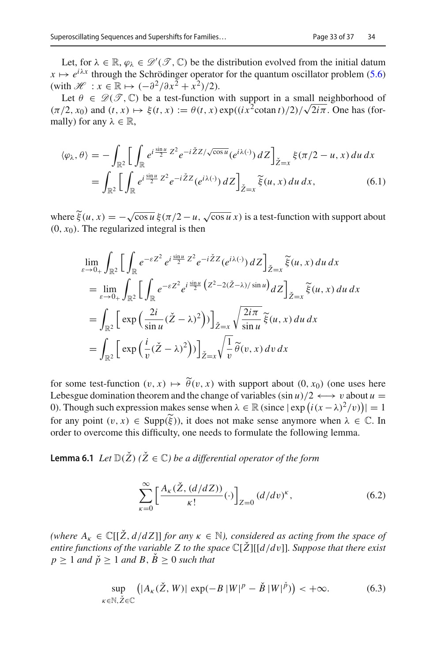Let, for  $\lambda \in \mathbb{R}$ ,  $\varphi_{\lambda} \in \mathcal{D}'(\mathcal{T}, \mathbb{C})$  be the distribution evolved from the initial datum  $x \mapsto e^{i\lambda x}$  through the Schrödinger operator for the quantum oscillator problem [\(5.6\)](#page-27-0) (with  $\mathcal{H}$  :  $x \in \mathbb{R} \mapsto (-\partial^2/\partial x^2 + x^2)/2$ ).

Let  $\theta \in \mathcal{D}(\mathcal{T}, \mathbb{C})$  be a test-function with support in a small neighborhood of  $(\pi/2, x_0)$  and  $(t, x) \mapsto \xi(t, x) := \theta(t, x) \exp((ix^2 \cot \theta) / 2) / \sqrt{2i\pi}$ . One has (formally) for any  $\lambda \in \mathbb{R}$ ,

$$
\langle \varphi_{\lambda}, \theta \rangle = -\int_{\mathbb{R}^2} \left[ \int_{\mathbb{R}} e^{i \frac{\sin u}{2} Z^2} e^{-i \check{Z} Z / \sqrt{\cos u}} (e^{i \lambda(\cdot)}) dZ \right]_{\check{Z}=x} \xi(\pi/2 - u, x) du dx
$$
  
= 
$$
\int_{\mathbb{R}^2} \left[ \int_{\mathbb{R}} e^{i \frac{\sin u}{2} Z^2} e^{-i \check{Z} Z} (e^{i \lambda(\cdot)}) dZ \right]_{\check{Z}=x} \tilde{\xi}(u, x) du dx, \tag{6.1}
$$

where  $\tilde{\xi}(u, x) = -\sqrt{\cos u} \xi(\pi/2 - u, \sqrt{\cos u} x)$  is a test-function with support about  $(0, x_0)$ . The require integral is then  $(0, x<sub>0</sub>)$ . The regularized integral is then

$$
\lim_{\varepsilon \to 0+} \int_{\mathbb{R}^2} \left[ \int_{\mathbb{R}} e^{-\varepsilon Z^2} e^{i \frac{\sin u}{2} Z^2} e^{-i \check{Z} Z} (e^{i\lambda(\cdot)}) dZ \right]_{\check{Z}=x} \tilde{\xi}(u, x) du dx
$$
  
\n
$$
= \lim_{\varepsilon \to 0+} \int_{\mathbb{R}^2} \left[ \int_{\mathbb{R}} e^{-\varepsilon Z^2} e^{i \frac{\sin u}{2} (Z^2 - 2(\check{Z} - \lambda)/\sin u)} dZ \right]_{\check{Z}=x} \tilde{\xi}(u, x) du dx
$$
  
\n
$$
= \int_{\mathbb{R}^2} \left[ \exp \left( \frac{2i}{\sin u} (\check{Z} - \lambda)^2 \right) \right]_{\check{Z}=x} \sqrt{\frac{2i\pi}{\sin u}} \tilde{\xi}(u, x) du dx
$$
  
\n
$$
= \int_{\mathbb{R}^2} \left[ \exp \left( \frac{i}{v} (\check{Z} - \lambda)^2 \right) \right]_{\check{Z}=x} \sqrt{\frac{1}{v}} \tilde{\theta}(v, x) dv dx
$$

for some test-function  $(v, x) \mapsto \tilde{\theta}(v, x)$  with support about  $(0, x_0)$  (one uses here Lebesgue domination theorem and the change of variables  $(\sin u)/2 \leftrightarrow v$  about  $u =$ 0). Though such expression makes sense when  $\lambda \in \mathbb{R}$  (since  $|\exp(i(x - \lambda)^2/v)| = 1$ for any point  $(v, x) \in \text{Supp}(\tilde{\xi})$ , it does not make sense anymore when  $\lambda \in \mathbb{C}$ . In order to overcome this difficulty, one needs to formulate the following lemma.

<span id="page-34-1"></span>**Lemma 6.1** *Let*  $\mathbb{D}(\check{Z})$  ( $\check{Z} \in \mathbb{C}$ ) *be a differential operator of the form* 

<span id="page-34-0"></span>
$$
\sum_{\kappa=0}^{\infty} \left[ \frac{A_{\kappa}(\check{Z}, (d/dZ))}{\kappa!} (\cdot) \right]_{Z=0} (d/dv)^{\kappa},\tag{6.2}
$$

*(where*  $A_k \in \mathbb{C}[[\check{Z}, d/dZ]]$  *for any*  $\kappa \in \mathbb{N}$ *), considered as acting from the space of entire functions of the variable Z to the space* <sup>C</sup>[*Z*ˇ][[*d*/*d*v]]*. Suppose that there exist*  $p > 1$  *and*  $\check{p} > 1$  *and*  $B, \check{B} > 0$  *such that* 

$$
\sup_{\kappa \in \mathbb{N}, \check{Z} \in \mathbb{C}} \left( |A_{\kappa}(\check{Z}, W)| \exp(-B |W|^{p} - \check{B} |W|^{\check{p}}) \right) < +\infty. \tag{6.3}
$$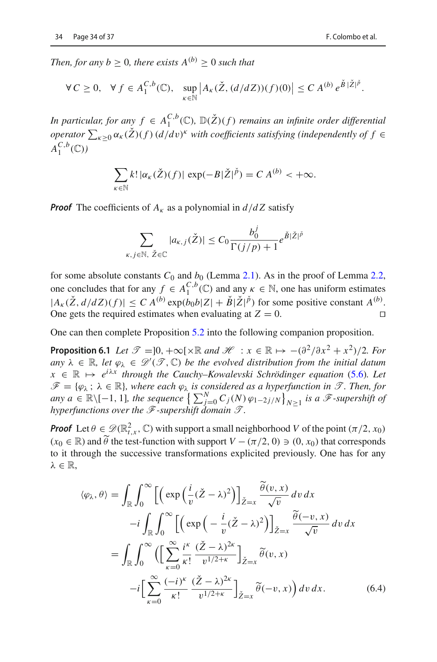*Then, for any b*  $\geq$  0*, there exists*  $A^{(b)} \geq 0$  *such that* 

$$
\forall C \geq 0, \quad \forall f \in A_1^{C,b}(\mathbb{C}), \quad \sup_{\kappa \in \mathbb{N}} \left| A_{\kappa}(\check{Z}, (d/dZ))(f)(0) \right| \leq C A^{(b)} e^{\check{B}|\check{Z}|^p}.
$$

*In particular, for any*  $f \in A_1^{C,b}(\mathbb{C}), \mathbb{D}(\check{Z})(f)$  *remains an infinite order differential operator*  $\sum_{\kappa \geq 0} \alpha_{\kappa}(\mathbf{Z})(f) (d/dv)^{\kappa}$  *with coefficients satisfying (independently of*  $f \in$  $A_1^{C,b}(\mathbb{C})$ 

$$
\sum_{\kappa \in \mathbb{N}} k! |\alpha_{\kappa}(\check{Z})(f)| \exp(-B|\check{Z}|^{\check{p}}) = C A^{(b)} < +\infty.
$$

*Proof* The coefficients of  $A_k$  as a polynomial in  $d/dZ$  satisfy

$$
\sum_{\kappa, j \in \mathbb{N}, \ \check{Z} \in \mathbb{C}} |a_{\kappa,j}(\check{Z})| \leq C_0 \frac{b_0^j}{\Gamma(j/p) + 1} e^{\check{B}|\check{Z}|^{\check{p}}}
$$

for some absolute constants  $C_0$  and  $b_0$  (Lemma [2.1\)](#page-8-0). As in the proof of Lemma [2.2,](#page-9-2) one concludes that for any  $f \in A_1^{C,b}(\mathbb{C})$  and any  $\kappa \in \mathbb{N}$ , one has uniform estimates  $|A_{\kappa}(\check{Z}, d/dZ)(f)| \leq C A^{(b)} \exp(b_0 b |Z| + \check{B}|\check{Z}|^{\check{p}})$  for some positive constant  $A^{(b)}$ . One gets the required estimates when evaluating at  $Z = 0$ .

<span id="page-35-0"></span>One can then complete Proposition [5.2](#page-31-1) into the following companion proposition.

**Proposition 6.1** *Let*  $\mathcal{T} = ]0, +\infty[\times \mathbb{R} \text{ and } \mathcal{H} : x \in \mathbb{R} \mapsto -(\partial^2/\partial x^2 + x^2)/2$ *. For*  $any \lambda \in \mathbb{R}, let \varphi_{\lambda} \in \mathcal{D}'(\mathcal{T}, \mathbb{C})$  *be the evolved distribution from the initial datum*  $x \in \mathbb{R} \mapsto e^{i\lambda x}$  *through the Cauchy–Kowalevski Schrödinger equation* [\(5.6\)](#page-27-0)*.* Let  $\mathscr{F} = {\varphi_{\lambda}}$ ;  $\lambda \in \mathbb{R}$ *, where each*  $\varphi_{\lambda}$  *is considered as a hyperfunction in*  $\mathscr{T}$ *. Then, for any*  $a \in \mathbb{R} \setminus [-1, 1]$ *, the sequence*  $\left\{ \sum_{j=0}^{N} C_j(N) \varphi_{1-2j/N} \right\}_{N \geq 1}$  *is a F-supershift of hyperfunctions over the F-supershift domain T .*

*Proof* Let  $\theta \in \mathcal{D}(\mathbb{R}^2_{t,x}, \mathbb{C})$  with support a small neighborhood *V* of the point  $(\pi/2, x_0)$  $(x_0 \in \mathbb{R})$  and  $\widetilde{\theta}$  the test-function with support  $V - (\pi/2, 0) \ni (0, x_0)$  that corresponds to it through the successive transformations explicited previously. One has for any  $\lambda \in \mathbb{R}$ ,

<span id="page-35-1"></span>
$$
\langle \varphi_{\lambda}, \theta \rangle = \int_{\mathbb{R}} \int_{0}^{\infty} \left[ \left( \exp \left( \frac{i}{v} (\check{Z} - \lambda)^{2} \right) \right]_{\check{Z} = x} \frac{\widetilde{\theta}(v, x)}{\sqrt{v}} dv dx - i \int_{\mathbb{R}} \int_{0}^{\infty} \left[ \left( \exp \left( -\frac{i}{v} (\check{Z} - \lambda)^{2} \right) \right]_{\check{Z} = x} \frac{\widetilde{\theta}(-v, x)}{\sqrt{v}} dv dx \right. \\ = \int_{\mathbb{R}} \int_{0}^{\infty} \left( \left[ \sum_{\kappa=0}^{\infty} \frac{i^{\kappa}}{\kappa!} \frac{(\check{Z} - \lambda)^{2\kappa}}{v^{1/2 + \kappa}} \right]_{\check{Z} = x} \widetilde{\theta}(v, x) - i \left[ \sum_{\kappa=0}^{\infty} \frac{(-i)^{\kappa}}{\kappa!} \frac{(\check{Z} - \lambda)^{2\kappa}}{v^{1/2 + \kappa}} \right]_{\check{Z} = x} \widetilde{\theta}(-v, x) \right) dv dx.
$$
 (6.4)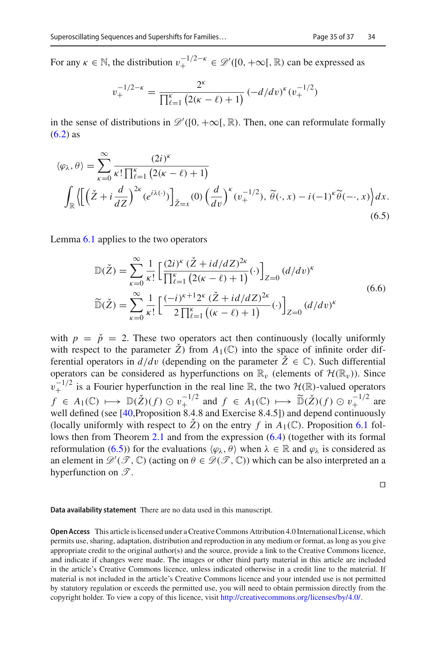For any  $\kappa \in \mathbb{N}$ , the distribution  $v_+^{-1/2-\kappa} \in \mathcal{D}'([0, +\infty[, \mathbb{R})$  can be expressed as

$$
v_{+}^{-1/2-\kappa} = \frac{2^{\kappa}}{\prod_{\ell=1}^{\kappa} \left(2(\kappa - \ell) + 1\right)} \left(-d/dv\right)^{\kappa} \left(v_{+}^{-1/2}\right)
$$

in the sense of distributions in  $\mathscr{D}'([0, +\infty), \mathbb{R})$ . Then, one can reformulate formally  $(6.2)$  as

<span id="page-36-0"></span>
$$
\langle \varphi_{\lambda}, \theta \rangle = \sum_{\kappa=0}^{\infty} \frac{(2i)^{\kappa}}{\kappa! \prod_{\ell=1}^{\kappa} \left( 2(\kappa - \ell) + 1 \right)} \int_{\mathbb{R}} \left\langle \left[ \left( \check{Z} + i \frac{d}{dZ} \right)^{2\kappa} (e^{i\lambda(\cdot)}) \right]_{\check{Z}=x} (0) \left( \frac{d}{dv} \right)^{\kappa} (v_{+}^{-1/2}), \, \tilde{\theta}(\cdot, x) - i (-1)^{\kappa} \tilde{\theta}(\cdot, x) \right\rangle dx. \tag{6.5}
$$

Lemma [6.1](#page-34-1) applies to the two operators

$$
\mathbb{D}(\check{Z}) = \sum_{\kappa=0}^{\infty} \frac{1}{\kappa!} \left[ \frac{(2i)^{\kappa} (\check{Z} + id/dZ)^{2\kappa}}{\prod_{\ell=1}^{\kappa} (2(\kappa - \ell) + 1)} (\cdot) \right]_{Z=0} (d/dv)^{\kappa}
$$
\n
$$
\widetilde{\mathbb{D}}(\check{Z}) = \sum_{\kappa=0}^{\infty} \frac{1}{\kappa!} \left[ \frac{(-i)^{\kappa+1} 2^{\kappa} (\check{Z} + id/dZ)^{2\kappa}}{2 \prod_{\ell=1}^{\kappa} ((\kappa - \ell) + 1)} (\cdot) \right]_{Z=0} (d/dv)^{\kappa}
$$
\n(6.6)

with  $p = \check{p} = 2$ . These two operators act then continuously (locally uniformly with respect to the parameter  $\check{Z}$ ) from  $A_1(\mathbb{C})$  into the space of infinite order differential operators in  $d/dv$  (depending on the parameter  $\check{Z} \in \mathbb{C}$ ). Such differential operators can be considered as hyperfunctions on  $\mathbb{R}_v$  (elements of  $\mathcal{H}(\mathbb{R}_v)$ ). Since  $v_+^{-1/2}$  is a Fourier hyperfunction in the real line R, the two  $\mathcal{H}(\mathbb{R})$ -valued operators *f* ∈ *A*<sub>1</sub>(C)  $\mapsto$   $\mathbb{D}(\check{Z})(f) \odot v_{+}^{-1/2}$  and *f* ∈ *A*<sub>1</sub>(C)  $\mapsto$   $\widetilde{\mathbb{D}}(\check{Z})(f) \odot v_{+}^{-1/2}$  are well defined (see [\[40,](#page-38-15)Proposition 8.4.8 and Exercise 8.4.5]) and depend continuously (locally uniformly with respect to  $\check{Z}$ ) on the entry f in  $A_1(\mathbb{C})$ . Proposition [6.1](#page-35-0) follows then from Theorem [2.1](#page-13-1) and from the expression [\(6.4\)](#page-35-1) (together with its formal reformulation [\(6.5\)](#page-36-0)) for the evaluations  $\langle \varphi_\lambda, \theta \rangle$  when  $\lambda \in \mathbb{R}$  and  $\varphi_\lambda$  is considered as an element in  $\mathcal{D}'(\mathcal{T}, \mathbb{C})$  (acting on  $\theta \in \mathcal{D}(\mathcal{T}, \mathbb{C})$ ) which can be also interpreted an a hyperfunction on *T* .

 $\Box$ 

#### **Data availability statement** There are no data used in this manuscript.

**Open Access** This article is licensed under a Creative Commons Attribution 4.0 International License, which permits use, sharing, adaptation, distribution and reproduction in any medium or format, as long as you give appropriate credit to the original author(s) and the source, provide a link to the Creative Commons licence, and indicate if changes were made. The images or other third party material in this article are included in the article's Creative Commons licence, unless indicated otherwise in a credit line to the material. If material is not included in the article's Creative Commons licence and your intended use is not permitted by statutory regulation or exceeds the permitted use, you will need to obtain permission directly from the copyright holder. To view a copy of this licence, visit [http://creativecommons.org/licenses/by/4.0/.](http://creativecommons.org/licenses/by/4.0/)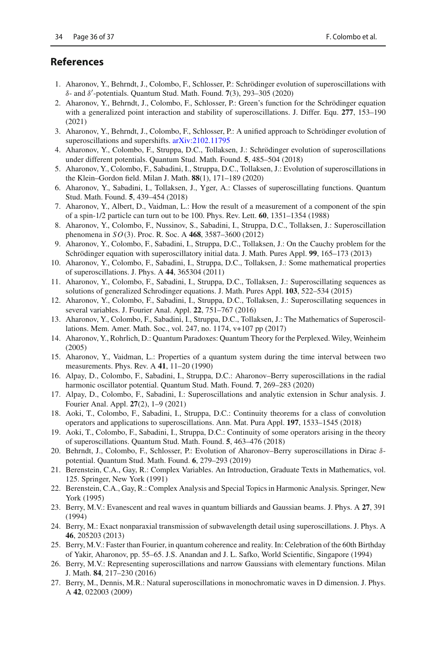#### **References**

- <span id="page-37-6"></span>1. Aharonov, Y., Behrndt, J., Colombo, F., Schlosser, P.: Schrödinger evolution of superoscillations with δ- and δ -potentials. Quantum Stud. Math. Found. **7**(3), 293–305 (2020)
- <span id="page-37-7"></span>2. Aharonov, Y., Behrndt, J., Colombo, F., Schlosser, P.: Green's function for the Schrödinger equation with a generalized point interaction and stability of superoscillations. J. Differ. Equ. **277**, 153–190 (2021)
- <span id="page-37-14"></span>3. Aharonov, Y., Behrndt, J., Colombo, F., Schlosser, P.: A unified approach to Schrödinger evolution of superoscillations and supershifts. [arXiv:2102.11795](http://arxiv.org/abs/2102.11795)
- 4. Aharonov, Y., Colombo, F., Struppa, D.C., Tollaksen, J.: Schrödinger evolution of superoscillations under different potentials. Quantum Stud. Math. Found. **5**, 485–504 (2018)
- <span id="page-37-15"></span>5. Aharonov, Y., Colombo, F., Sabadini, I., Struppa, D.C., Tollaksen, J.: Evolution of superoscillations in the Klein–Gordon field. Milan J. Math. **88**(1), 171–189 (2020)
- 6. Aharonov, Y., Sabadini, I., Tollaksen, J., Yger, A.: Classes of superoscillating functions. Quantum Stud. Math. Found. **5**, 439–454 (2018)
- <span id="page-37-0"></span>7. Aharonov, Y., Albert, D., Vaidman, L.: How the result of a measurement of a component of the spin of a spin-1/2 particle can turn out to be 100. Phys. Rev. Lett. **60**, 1351–1354 (1988)
- <span id="page-37-8"></span>8. Aharonov, Y., Colombo, F., Nussinov, S., Sabadini, I., Struppa, D.C., Tollaksen, J.: Superoscillation phenomena in *SO*(3). Proc. R. Soc. A **468**, 3587–3600 (2012)
- 9. Aharonov, Y., Colombo, F., Sabadini, I., Struppa, D.C., Tollaksen, J.: On the Cauchy problem for the Schrödinger equation with superoscillatory initial data. J. Math. Pures Appl. **99**, 165–173 (2013)
- 10. Aharonov, Y., Colombo, F., Sabadini, I., Struppa, D.C., Tollaksen, J.: Some mathematical properties of superoscillations. J. Phys. A **44**, 365304 (2011)
- 11. Aharonov, Y., Colombo, F., Sabadini, I., Struppa, D.C., Tollaksen, J.: Superoscillating sequences as solutions of generalized Schrodinger equations. J. Math. Pures Appl. **103**, 522–534 (2015)
- <span id="page-37-9"></span>12. Aharonov, Y., Colombo, F., Sabadini, I., Struppa, D.C., Tollaksen, J.: Superoscillating sequences in several variables. J. Fourier Anal. Appl. **22**, 751–767 (2016)
- <span id="page-37-13"></span>13. Aharonov, Y., Colombo, F., Sabadini, I., Struppa, D.C., Tollaksen, J.: The Mathematics of Superoscillations. Mem. Amer. Math. Soc., vol. 247, no. 1174, v+107 pp (2017)
- <span id="page-37-1"></span>14. Aharonov, Y., Rohrlich, D.: Quantum Paradoxes: Quantum Theory for the Perplexed. Wiley, Weinheim (2005)
- <span id="page-37-2"></span>15. Aharonov, Y., Vaidman, L.: Properties of a quantum system during the time interval between two measurements. Phys. Rev. A **41**, 11–20 (1990)
- <span id="page-37-10"></span>16. Alpay, D., Colombo, F., Sabadini, I., Struppa, D.C.: Aharonov–Berry superoscillations in the radial harmonic oscillator potential. Quantum Stud. Math. Found. **7**, 269–283 (2020)
- <span id="page-37-16"></span>17. Alpay, D., Colombo, F., Sabadini, I.: Superoscillations and analytic extension in Schur analysis. J. Fourier Anal. Appl. **27**(2), 1–9 (2021)
- <span id="page-37-11"></span>18. Aoki, T., Colombo, F., Sabadini, I., Struppa, D.C.: Continuity theorems for a class of convolution operators and applications to superoscillations. Ann. Mat. Pura Appl. **197**, 1533–1545 (2018)
- 19. Aoki, T., Colombo, F., Sabadini, I., Struppa, D.C.: Continuity of some operators arising in the theory of superoscillations. Quantum Stud. Math. Found. **5**, 463–476 (2018)
- <span id="page-37-12"></span>20. Behrndt, J., Colombo, F., Schlosser, P.: Evolution of Aharonov–Berry superoscillations in Dirac δpotential. Quantum Stud. Math. Found. **6**, 279–293 (2019)
- 21. Berenstein, C.A., Gay, R.: Complex Variables. An Introduction, Graduate Texts in Mathematics, vol. 125. Springer, New York (1991)
- <span id="page-37-17"></span>22. Berenstein, C.A., Gay, R.: Complex Analysis and Special Topics in Harmonic Analysis. Springer, New York (1995)
- <span id="page-37-3"></span>23. Berry, M.V.: Evanescent and real waves in quantum billiards and Gaussian beams. J. Phys. A **27**, 391 (1994)
- 24. Berry, M.: Exact nonparaxial transmission of subwavelength detail using superoscillations. J. Phys. A **46**, 205203 (2013)
- <span id="page-37-4"></span>25. Berry, M.V.: Faster than Fourier, in quantum coherence and reality. In: Celebration of the 60th Birthday of Yakir, Aharonov, pp. 55–65. J.S. Anandan and J. L. Safko, World Scientific, Singapore (1994)
- 26. Berry, M.V.: Representing superoscillations and narrow Gaussians with elementary functions. Milan J. Math. **84**, 217–230 (2016)
- <span id="page-37-5"></span>27. Berry, M., Dennis, M.R.: Natural superoscillations in monochromatic waves in D dimension. J. Phys. A **42**, 022003 (2009)